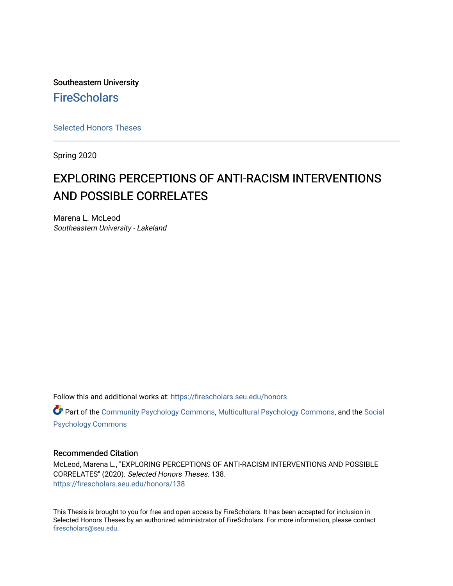Southeastern University **FireScholars** 

[Selected Honors Theses](https://firescholars.seu.edu/honors)

Spring 2020

# EXPLORING PERCEPTIONS OF ANTI-RACISM INTERVENTIONS AND POSSIBLE CORRELATES

Marena L. McLeod Southeastern University - Lakeland

Follow this and additional works at: [https://firescholars.seu.edu/honors](https://firescholars.seu.edu/honors?utm_source=firescholars.seu.edu%2Fhonors%2F138&utm_medium=PDF&utm_campaign=PDFCoverPages)

Part of the [Community Psychology Commons,](http://network.bepress.com/hgg/discipline/409?utm_source=firescholars.seu.edu%2Fhonors%2F138&utm_medium=PDF&utm_campaign=PDFCoverPages) [Multicultural Psychology Commons](http://network.bepress.com/hgg/discipline/1237?utm_source=firescholars.seu.edu%2Fhonors%2F138&utm_medium=PDF&utm_campaign=PDFCoverPages), and the [Social](http://network.bepress.com/hgg/discipline/414?utm_source=firescholars.seu.edu%2Fhonors%2F138&utm_medium=PDF&utm_campaign=PDFCoverPages)  [Psychology Commons](http://network.bepress.com/hgg/discipline/414?utm_source=firescholars.seu.edu%2Fhonors%2F138&utm_medium=PDF&utm_campaign=PDFCoverPages) 

## Recommended Citation

McLeod, Marena L., "EXPLORING PERCEPTIONS OF ANTI-RACISM INTERVENTIONS AND POSSIBLE CORRELATES" (2020). Selected Honors Theses. 138. [https://firescholars.seu.edu/honors/138](https://firescholars.seu.edu/honors/138?utm_source=firescholars.seu.edu%2Fhonors%2F138&utm_medium=PDF&utm_campaign=PDFCoverPages)

This Thesis is brought to you for free and open access by FireScholars. It has been accepted for inclusion in Selected Honors Theses by an authorized administrator of FireScholars. For more information, please contact [firescholars@seu.edu.](mailto:firescholars@seu.edu)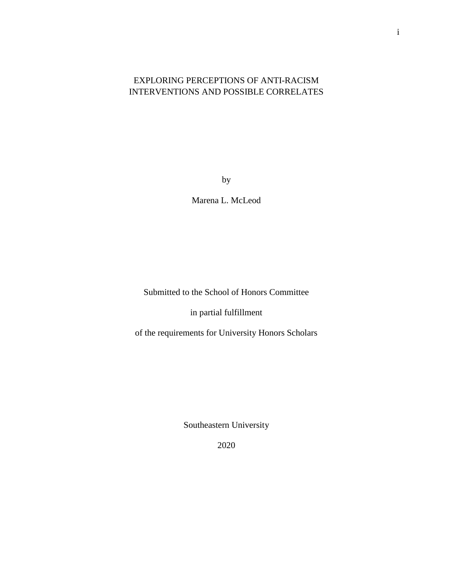## EXPLORING PERCEPTIONS OF ANTI-RACISM INTERVENTIONS AND POSSIBLE CORRELATES

by

Marena L. McLeod

Submitted to the School of Honors Committee

in partial fulfillment

of the requirements for University Honors Scholars

Southeastern University

2020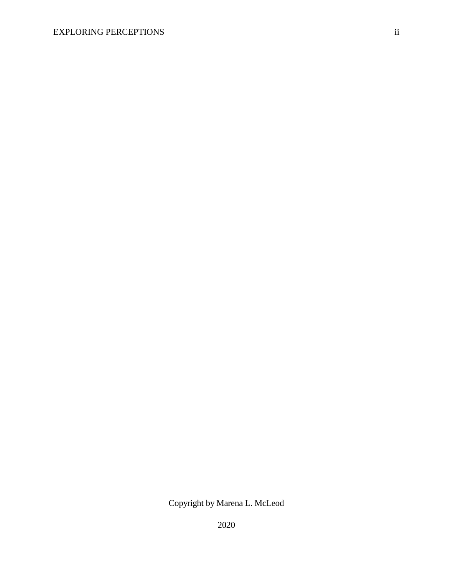Copyright by Marena L. McLeod

2020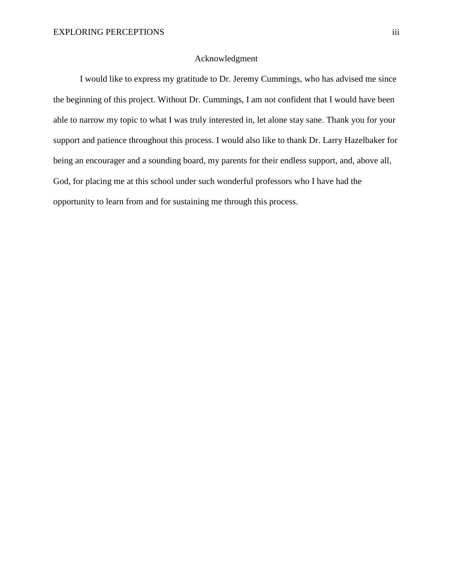### Acknowledgment

I would like to express my gratitude to Dr. Jeremy Cummings, who has advised me since the beginning of this project. Without Dr. Cummings, I am not confident that I would have been able to narrow my topic to what I was truly interested in, let alone stay sane. Thank you for your support and patience throughout this process. I would also like to thank Dr. Larry Hazelbaker for being an encourager and a sounding board, my parents for their endless support, and, above all, God, for placing me at this school under such wonderful professors who I have had the opportunity to learn from and for sustaining me through this process.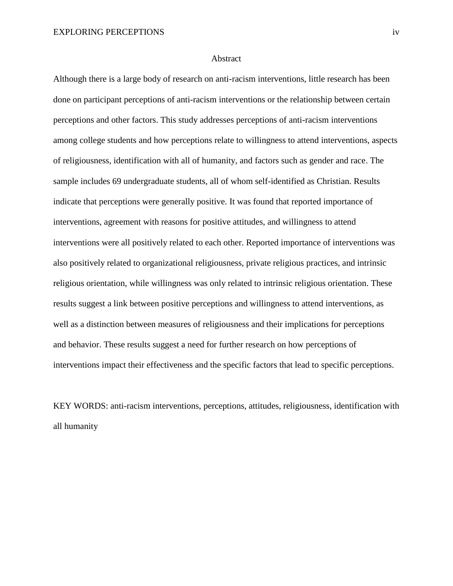#### **Abstract**

Although there is a large body of research on anti-racism interventions, little research has been done on participant perceptions of anti-racism interventions or the relationship between certain perceptions and other factors. This study addresses perceptions of anti-racism interventions among college students and how perceptions relate to willingness to attend interventions, aspects of religiousness, identification with all of humanity, and factors such as gender and race. The sample includes 69 undergraduate students, all of whom self-identified as Christian. Results indicate that perceptions were generally positive. It was found that reported importance of interventions, agreement with reasons for positive attitudes, and willingness to attend interventions were all positively related to each other. Reported importance of interventions was also positively related to organizational religiousness, private religious practices, and intrinsic religious orientation, while willingness was only related to intrinsic religious orientation. These results suggest a link between positive perceptions and willingness to attend interventions, as well as a distinction between measures of religiousness and their implications for perceptions and behavior. These results suggest a need for further research on how perceptions of interventions impact their effectiveness and the specific factors that lead to specific perceptions.

KEY WORDS: anti-racism interventions, perceptions, attitudes, religiousness, identification with all humanity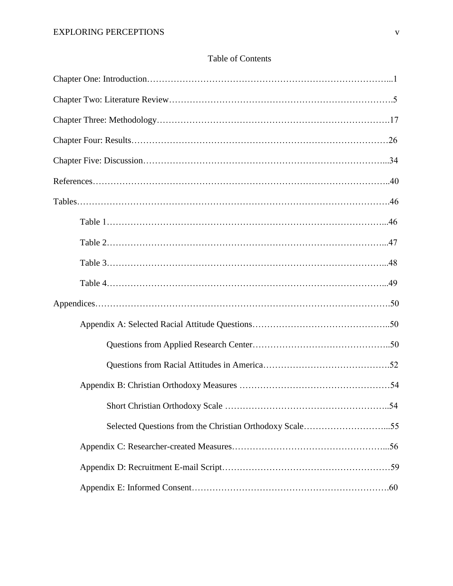# Table of Contents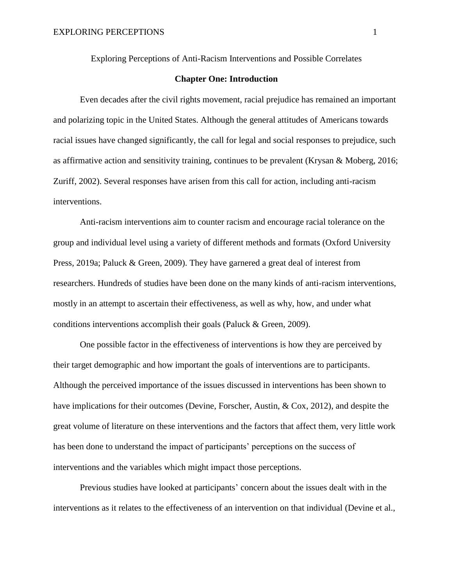Exploring Perceptions of Anti-Racism Interventions and Possible Correlates

## **Chapter One: Introduction**

Even decades after the civil rights movement, racial prejudice has remained an important and polarizing topic in the United States. Although the general attitudes of Americans towards racial issues have changed significantly, the call for legal and social responses to prejudice, such as affirmative action and sensitivity training, continues to be prevalent (Krysan & Moberg, 2016; Zuriff, 2002). Several responses have arisen from this call for action, including anti-racism interventions.

Anti-racism interventions aim to counter racism and encourage racial tolerance on the group and individual level using a variety of different methods and formats (Oxford University Press, 2019a; Paluck & Green, 2009). They have garnered a great deal of interest from researchers. Hundreds of studies have been done on the many kinds of anti-racism interventions, mostly in an attempt to ascertain their effectiveness, as well as why, how, and under what conditions interventions accomplish their goals (Paluck & Green, 2009).

One possible factor in the effectiveness of interventions is how they are perceived by their target demographic and how important the goals of interventions are to participants. Although the perceived importance of the issues discussed in interventions has been shown to have implications for their outcomes (Devine, Forscher, Austin, & Cox, 2012), and despite the great volume of literature on these interventions and the factors that affect them, very little work has been done to understand the impact of participants' perceptions on the success of interventions and the variables which might impact those perceptions.

Previous studies have looked at participants' concern about the issues dealt with in the interventions as it relates to the effectiveness of an intervention on that individual (Devine et al.,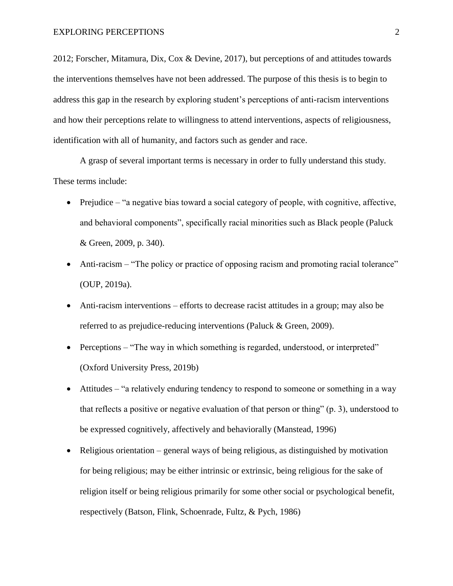2012; Forscher, Mitamura, Dix, Cox & Devine, 2017), but perceptions of and attitudes towards the interventions themselves have not been addressed. The purpose of this thesis is to begin to address this gap in the research by exploring student's perceptions of anti-racism interventions and how their perceptions relate to willingness to attend interventions, aspects of religiousness, identification with all of humanity, and factors such as gender and race.

A grasp of several important terms is necessary in order to fully understand this study. These terms include:

- Prejudice "a negative bias toward a social category of people, with cognitive, affective, and behavioral components", specifically racial minorities such as Black people (Paluck & Green, 2009, p. 340).
- Anti-racism "The policy or practice of opposing racism and promoting racial tolerance" (OUP, 2019a).
- Anti-racism interventions efforts to decrease racist attitudes in a group; may also be referred to as prejudice-reducing interventions (Paluck & Green, 2009).
- Perceptions "The way in which something is regarded, understood, or interpreted" (Oxford University Press, 2019b)
- Attitudes "a relatively enduring tendency to respond to someone or something in a way that reflects a positive or negative evaluation of that person or thing" (p. 3), understood to be expressed cognitively, affectively and behaviorally (Manstead, 1996)
- Religious orientation general ways of being religious, as distinguished by motivation for being religious; may be either intrinsic or extrinsic, being religious for the sake of religion itself or being religious primarily for some other social or psychological benefit, respectively (Batson, Flink, Schoenrade, Fultz, & Pych, 1986)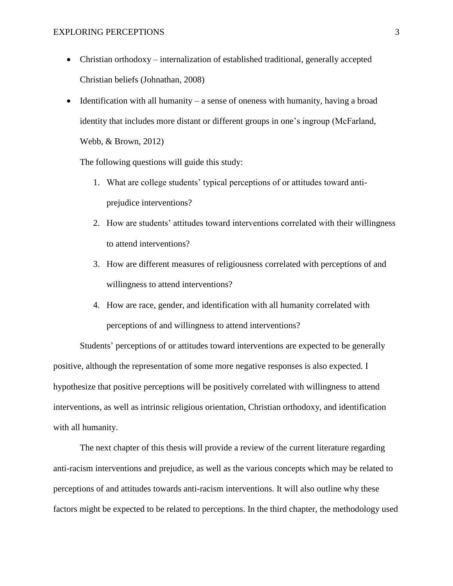- Christian orthodoxy internalization of established traditional, generally accepted Christian beliefs (Johnathan, 2008)
- Identification with all humanity a sense of oneness with humanity, having a broad identity that includes more distant or different groups in one's ingroup (McFarland, Webb, & Brown, 2012)

The following questions will guide this study:

- 1. What are college students' typical perceptions of or attitudes toward antiprejudice interventions?
- 2. How are students' attitudes toward interventions correlated with their willingness to attend interventions?
- 3. How are different measures of religiousness correlated with perceptions of and willingness to attend interventions?
- 4. How are race, gender, and identification with all humanity correlated with perceptions of and willingness to attend interventions?

Students' perceptions of or attitudes toward interventions are expected to be generally positive, although the representation of some more negative responses is also expected. I hypothesize that positive perceptions will be positively correlated with willingness to attend interventions, as well as intrinsic religious orientation, Christian orthodoxy, and identification with all humanity.

The next chapter of this thesis will provide a review of the current literature regarding anti-racism interventions and prejudice, as well as the various concepts which may be related to perceptions of and attitudes towards anti-racism interventions. It will also outline why these factors might be expected to be related to perceptions. In the third chapter, the methodology used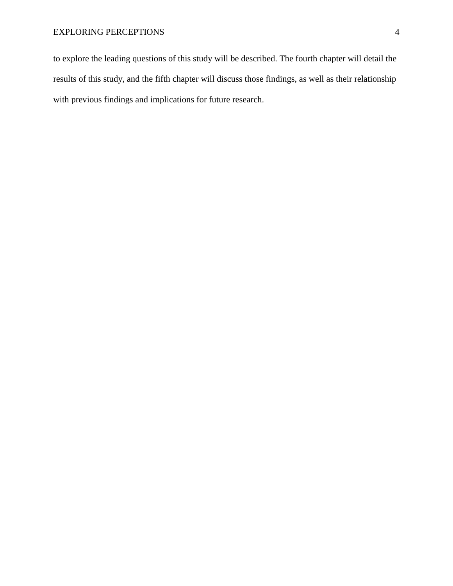to explore the leading questions of this study will be described. The fourth chapter will detail the results of this study, and the fifth chapter will discuss those findings, as well as their relationship with previous findings and implications for future research.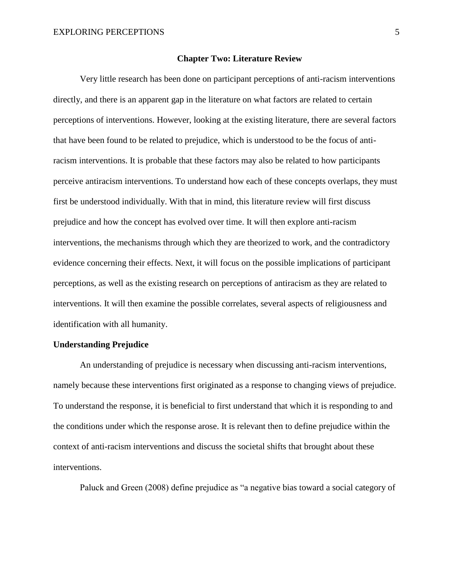#### **Chapter Two: Literature Review**

Very little research has been done on participant perceptions of anti-racism interventions directly, and there is an apparent gap in the literature on what factors are related to certain perceptions of interventions. However, looking at the existing literature, there are several factors that have been found to be related to prejudice, which is understood to be the focus of antiracism interventions. It is probable that these factors may also be related to how participants perceive antiracism interventions. To understand how each of these concepts overlaps, they must first be understood individually. With that in mind, this literature review will first discuss prejudice and how the concept has evolved over time. It will then explore anti-racism interventions, the mechanisms through which they are theorized to work, and the contradictory evidence concerning their effects. Next, it will focus on the possible implications of participant perceptions, as well as the existing research on perceptions of antiracism as they are related to interventions. It will then examine the possible correlates, several aspects of religiousness and identification with all humanity.

## **Understanding Prejudice**

An understanding of prejudice is necessary when discussing anti-racism interventions, namely because these interventions first originated as a response to changing views of prejudice. To understand the response, it is beneficial to first understand that which it is responding to and the conditions under which the response arose. It is relevant then to define prejudice within the context of anti-racism interventions and discuss the societal shifts that brought about these interventions.

Paluck and Green (2008) define prejudice as "a negative bias toward a social category of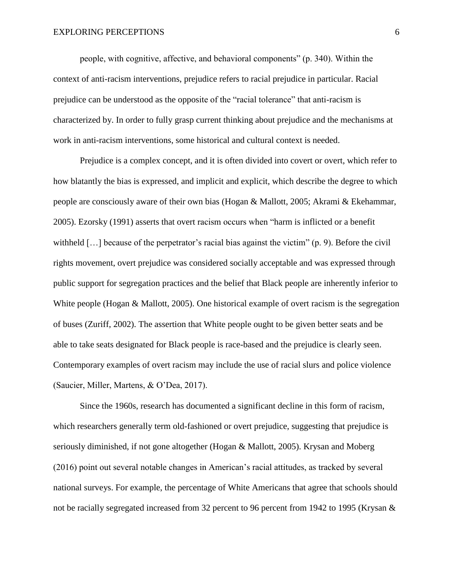people, with cognitive, affective, and behavioral components" (p. 340). Within the context of anti-racism interventions, prejudice refers to racial prejudice in particular. Racial prejudice can be understood as the opposite of the "racial tolerance" that anti-racism is characterized by. In order to fully grasp current thinking about prejudice and the mechanisms at work in anti-racism interventions, some historical and cultural context is needed.

Prejudice is a complex concept, and it is often divided into covert or overt, which refer to how blatantly the bias is expressed, and implicit and explicit, which describe the degree to which people are consciously aware of their own bias (Hogan & Mallott, 2005; Akrami & Ekehammar, 2005). Ezorsky (1991) asserts that overt racism occurs when "harm is inflicted or a benefit withheld [...] because of the perpetrator's racial bias against the victim" (p. 9). Before the civil rights movement, overt prejudice was considered socially acceptable and was expressed through public support for segregation practices and the belief that Black people are inherently inferior to White people (Hogan & Mallott, 2005). One historical example of overt racism is the segregation of buses (Zuriff, 2002). The assertion that White people ought to be given better seats and be able to take seats designated for Black people is race-based and the prejudice is clearly seen. Contemporary examples of overt racism may include the use of racial slurs and police violence (Saucier, Miller, Martens, & O'Dea, 2017).

Since the 1960s, research has documented a significant decline in this form of racism, which researchers generally term old-fashioned or overt prejudice, suggesting that prejudice is seriously diminished, if not gone altogether (Hogan & Mallott, 2005). Krysan and Moberg (2016) point out several notable changes in American's racial attitudes, as tracked by several national surveys. For example, the percentage of White Americans that agree that schools should not be racially segregated increased from 32 percent to 96 percent from 1942 to 1995 (Krysan &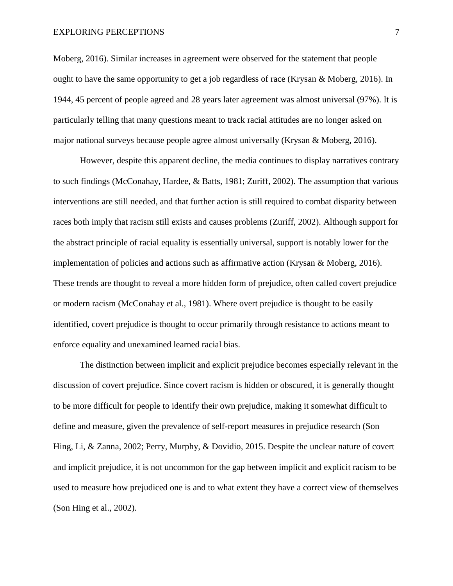Moberg, 2016). Similar increases in agreement were observed for the statement that people ought to have the same opportunity to get a job regardless of race (Krysan & Moberg, 2016). In 1944, 45 percent of people agreed and 28 years later agreement was almost universal (97%). It is particularly telling that many questions meant to track racial attitudes are no longer asked on major national surveys because people agree almost universally (Krysan & Moberg, 2016).

However, despite this apparent decline, the media continues to display narratives contrary to such findings (McConahay, Hardee, & Batts, 1981; Zuriff, 2002). The assumption that various interventions are still needed, and that further action is still required to combat disparity between races both imply that racism still exists and causes problems (Zuriff, 2002). Although support for the abstract principle of racial equality is essentially universal, support is notably lower for the implementation of policies and actions such as affirmative action (Krysan & Moberg, 2016). These trends are thought to reveal a more hidden form of prejudice, often called covert prejudice or modern racism (McConahay et al., 1981). Where overt prejudice is thought to be easily identified, covert prejudice is thought to occur primarily through resistance to actions meant to enforce equality and unexamined learned racial bias.

The distinction between implicit and explicit prejudice becomes especially relevant in the discussion of covert prejudice. Since covert racism is hidden or obscured, it is generally thought to be more difficult for people to identify their own prejudice, making it somewhat difficult to define and measure, given the prevalence of self-report measures in prejudice research (Son Hing, Li, & Zanna, 2002; Perry, Murphy, & Dovidio, 2015. Despite the unclear nature of covert and implicit prejudice, it is not uncommon for the gap between implicit and explicit racism to be used to measure how prejudiced one is and to what extent they have a correct view of themselves (Son Hing et al., 2002).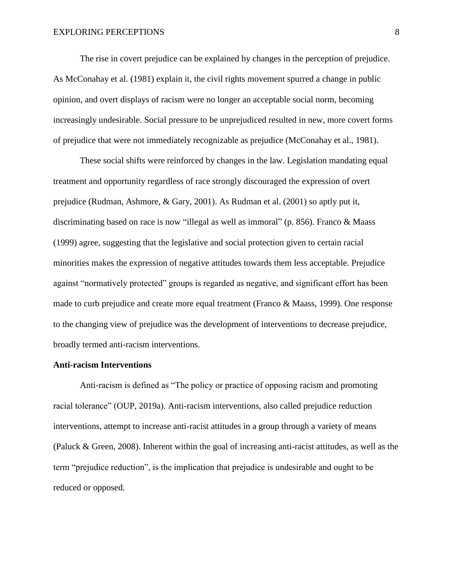The rise in covert prejudice can be explained by changes in the perception of prejudice. As McConahay et al. (1981) explain it, the civil rights movement spurred a change in public opinion, and overt displays of racism were no longer an acceptable social norm, becoming increasingly undesirable. Social pressure to be unprejudiced resulted in new, more covert forms of prejudice that were not immediately recognizable as prejudice (McConahay et al., 1981).

These social shifts were reinforced by changes in the law. Legislation mandating equal treatment and opportunity regardless of race strongly discouraged the expression of overt prejudice (Rudman, Ashmore, & Gary, 2001). As Rudman et al. (2001) so aptly put it, discriminating based on race is now "illegal as well as immoral" (p. 856). Franco & Maass (1999) agree, suggesting that the legislative and social protection given to certain racial minorities makes the expression of negative attitudes towards them less acceptable. Prejudice against "normatively protected" groups is regarded as negative, and significant effort has been made to curb prejudice and create more equal treatment (Franco & Maass, 1999). One response to the changing view of prejudice was the development of interventions to decrease prejudice, broadly termed anti-racism interventions.

#### **Anti-racism Interventions**

Anti-racism is defined as "The policy or practice of opposing racism and promoting racial tolerance" (OUP, 2019a). Anti-racism interventions, also called prejudice reduction interventions, attempt to increase anti-racist attitudes in a group through a variety of means (Paluck & Green, 2008). Inherent within the goal of increasing anti-racist attitudes, as well as the term "prejudice reduction", is the implication that prejudice is undesirable and ought to be reduced or opposed.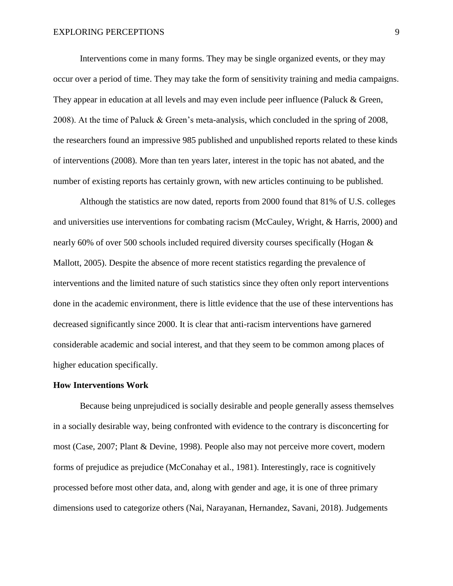Interventions come in many forms. They may be single organized events, or they may occur over a period of time. They may take the form of sensitivity training and media campaigns. They appear in education at all levels and may even include peer influence (Paluck & Green, 2008). At the time of Paluck & Green's meta-analysis, which concluded in the spring of 2008, the researchers found an impressive 985 published and unpublished reports related to these kinds of interventions (2008). More than ten years later, interest in the topic has not abated, and the number of existing reports has certainly grown, with new articles continuing to be published.

Although the statistics are now dated, reports from 2000 found that 81% of U.S. colleges and universities use interventions for combating racism (McCauley, Wright, & Harris, 2000) and nearly 60% of over 500 schools included required diversity courses specifically (Hogan & Mallott, 2005). Despite the absence of more recent statistics regarding the prevalence of interventions and the limited nature of such statistics since they often only report interventions done in the academic environment, there is little evidence that the use of these interventions has decreased significantly since 2000. It is clear that anti-racism interventions have garnered considerable academic and social interest, and that they seem to be common among places of higher education specifically.

#### **How Interventions Work**

Because being unprejudiced is socially desirable and people generally assess themselves in a socially desirable way, being confronted with evidence to the contrary is disconcerting for most (Case, 2007; Plant & Devine, 1998). People also may not perceive more covert, modern forms of prejudice as prejudice (McConahay et al., 1981). Interestingly, race is cognitively processed before most other data, and, along with gender and age, it is one of three primary dimensions used to categorize others (Nai, Narayanan, Hernandez, Savani, 2018). Judgements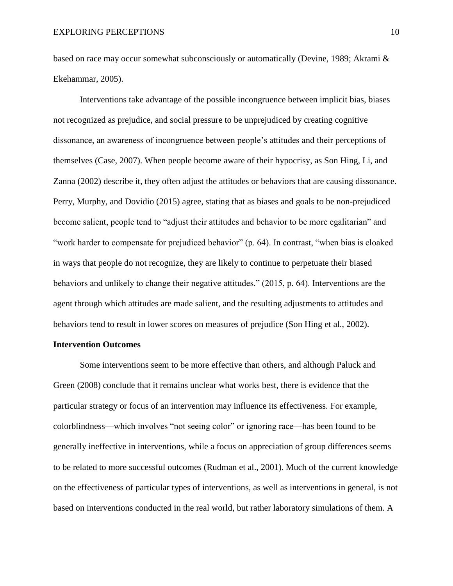based on race may occur somewhat subconsciously or automatically (Devine, 1989; Akrami & Ekehammar, 2005).

Interventions take advantage of the possible incongruence between implicit bias, biases not recognized as prejudice, and social pressure to be unprejudiced by creating cognitive dissonance, an awareness of incongruence between people's attitudes and their perceptions of themselves (Case, 2007). When people become aware of their hypocrisy, as Son Hing, Li, and Zanna (2002) describe it, they often adjust the attitudes or behaviors that are causing dissonance. Perry, Murphy, and Dovidio (2015) agree, stating that as biases and goals to be non-prejudiced become salient, people tend to "adjust their attitudes and behavior to be more egalitarian" and "work harder to compensate for prejudiced behavior" (p. 64). In contrast, "when bias is cloaked in ways that people do not recognize, they are likely to continue to perpetuate their biased behaviors and unlikely to change their negative attitudes." (2015, p. 64). Interventions are the agent through which attitudes are made salient, and the resulting adjustments to attitudes and behaviors tend to result in lower scores on measures of prejudice (Son Hing et al., 2002).

#### **Intervention Outcomes**

Some interventions seem to be more effective than others, and although Paluck and Green (2008) conclude that it remains unclear what works best, there is evidence that the particular strategy or focus of an intervention may influence its effectiveness. For example, colorblindness—which involves "not seeing color" or ignoring race—has been found to be generally ineffective in interventions, while a focus on appreciation of group differences seems to be related to more successful outcomes (Rudman et al., 2001). Much of the current knowledge on the effectiveness of particular types of interventions, as well as interventions in general, is not based on interventions conducted in the real world, but rather laboratory simulations of them. A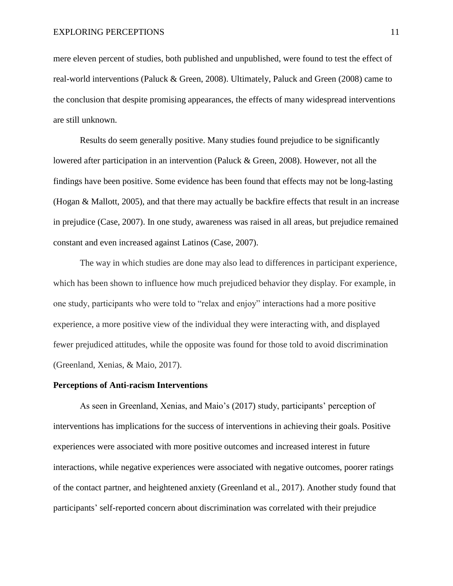mere eleven percent of studies, both published and unpublished, were found to test the effect of real-world interventions (Paluck & Green, 2008). Ultimately, Paluck and Green (2008) came to the conclusion that despite promising appearances, the effects of many widespread interventions are still unknown.

Results do seem generally positive. Many studies found prejudice to be significantly lowered after participation in an intervention (Paluck & Green, 2008). However, not all the findings have been positive. Some evidence has been found that effects may not be long-lasting (Hogan & Mallott, 2005), and that there may actually be backfire effects that result in an increase in prejudice (Case, 2007). In one study, awareness was raised in all areas, but prejudice remained constant and even increased against Latinos (Case, 2007).

The way in which studies are done may also lead to differences in participant experience, which has been shown to influence how much prejudiced behavior they display. For example, in one study, participants who were told to "relax and enjoy" interactions had a more positive experience, a more positive view of the individual they were interacting with, and displayed fewer prejudiced attitudes, while the opposite was found for those told to avoid discrimination (Greenland, Xenias, & Maio, 2017).

### **Perceptions of Anti-racism Interventions**

As seen in Greenland, Xenias, and Maio's (2017) study, participants' perception of interventions has implications for the success of interventions in achieving their goals. Positive experiences were associated with more positive outcomes and increased interest in future interactions, while negative experiences were associated with negative outcomes, poorer ratings of the contact partner, and heightened anxiety (Greenland et al., 2017). Another study found that participants' self-reported concern about discrimination was correlated with their prejudice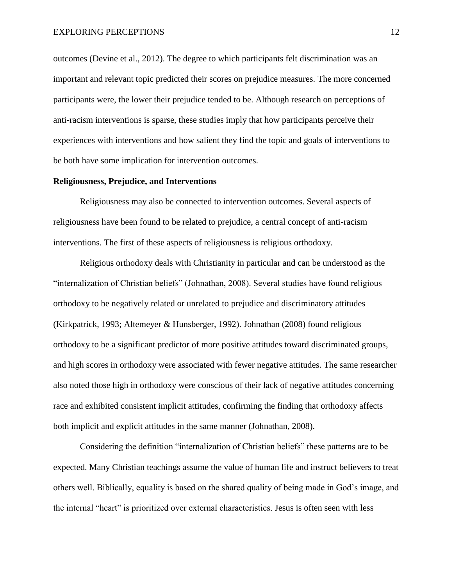outcomes (Devine et al., 2012). The degree to which participants felt discrimination was an important and relevant topic predicted their scores on prejudice measures. The more concerned participants were, the lower their prejudice tended to be. Although research on perceptions of anti-racism interventions is sparse, these studies imply that how participants perceive their experiences with interventions and how salient they find the topic and goals of interventions to be both have some implication for intervention outcomes.

#### **Religiousness, Prejudice, and Interventions**

Religiousness may also be connected to intervention outcomes. Several aspects of religiousness have been found to be related to prejudice, a central concept of anti-racism interventions. The first of these aspects of religiousness is religious orthodoxy.

Religious orthodoxy deals with Christianity in particular and can be understood as the "internalization of Christian beliefs" (Johnathan, 2008). Several studies have found religious orthodoxy to be negatively related or unrelated to prejudice and discriminatory attitudes (Kirkpatrick, 1993; Altemeyer & Hunsberger, 1992). Johnathan (2008) found religious orthodoxy to be a significant predictor of more positive attitudes toward discriminated groups, and high scores in orthodoxy were associated with fewer negative attitudes. The same researcher also noted those high in orthodoxy were conscious of their lack of negative attitudes concerning race and exhibited consistent implicit attitudes, confirming the finding that orthodoxy affects both implicit and explicit attitudes in the same manner (Johnathan, 2008).

Considering the definition "internalization of Christian beliefs" these patterns are to be expected. Many Christian teachings assume the value of human life and instruct believers to treat others well. Biblically, equality is based on the shared quality of being made in God's image, and the internal "heart" is prioritized over external characteristics. Jesus is often seen with less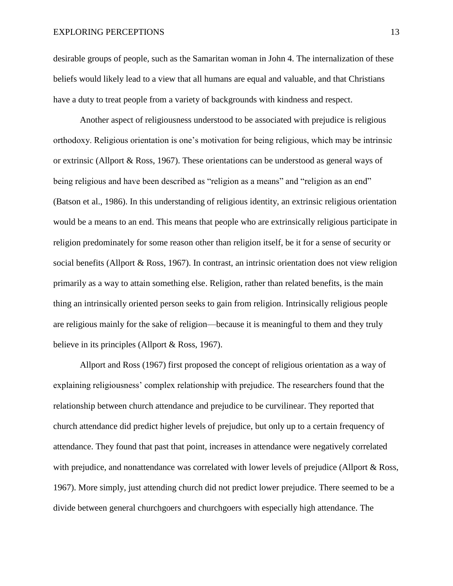desirable groups of people, such as the Samaritan woman in John 4. The internalization of these beliefs would likely lead to a view that all humans are equal and valuable, and that Christians have a duty to treat people from a variety of backgrounds with kindness and respect.

Another aspect of religiousness understood to be associated with prejudice is religious orthodoxy. Religious orientation is one's motivation for being religious, which may be intrinsic or extrinsic (Allport & Ross, 1967). These orientations can be understood as general ways of being religious and have been described as "religion as a means" and "religion as an end" (Batson et al., 1986). In this understanding of religious identity, an extrinsic religious orientation would be a means to an end. This means that people who are extrinsically religious participate in religion predominately for some reason other than religion itself, be it for a sense of security or social benefits (Allport & Ross, 1967). In contrast, an intrinsic orientation does not view religion primarily as a way to attain something else. Religion, rather than related benefits, is the main thing an intrinsically oriented person seeks to gain from religion. Intrinsically religious people are religious mainly for the sake of religion—because it is meaningful to them and they truly believe in its principles (Allport & Ross, 1967).

Allport and Ross (1967) first proposed the concept of religious orientation as a way of explaining religiousness' complex relationship with prejudice. The researchers found that the relationship between church attendance and prejudice to be curvilinear. They reported that church attendance did predict higher levels of prejudice, but only up to a certain frequency of attendance. They found that past that point, increases in attendance were negatively correlated with prejudice, and nonattendance was correlated with lower levels of prejudice (Allport & Ross, 1967). More simply, just attending church did not predict lower prejudice. There seemed to be a divide between general churchgoers and churchgoers with especially high attendance. The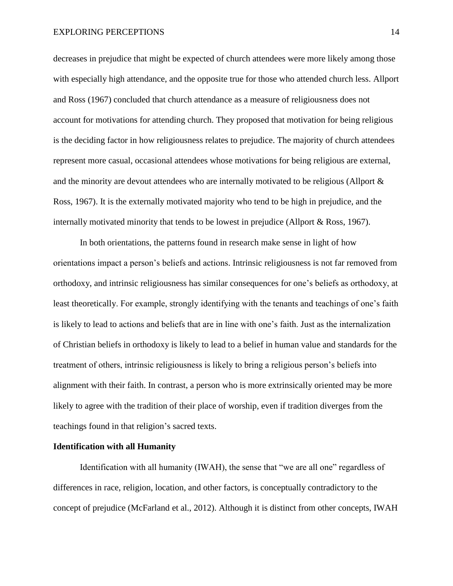decreases in prejudice that might be expected of church attendees were more likely among those with especially high attendance, and the opposite true for those who attended church less. Allport and Ross (1967) concluded that church attendance as a measure of religiousness does not account for motivations for attending church. They proposed that motivation for being religious is the deciding factor in how religiousness relates to prejudice. The majority of church attendees represent more casual, occasional attendees whose motivations for being religious are external, and the minority are devout attendees who are internally motivated to be religious (Allport & Ross, 1967). It is the externally motivated majority who tend to be high in prejudice, and the internally motivated minority that tends to be lowest in prejudice (Allport & Ross, 1967).

In both orientations, the patterns found in research make sense in light of how orientations impact a person's beliefs and actions. Intrinsic religiousness is not far removed from orthodoxy, and intrinsic religiousness has similar consequences for one's beliefs as orthodoxy, at least theoretically. For example, strongly identifying with the tenants and teachings of one's faith is likely to lead to actions and beliefs that are in line with one's faith. Just as the internalization of Christian beliefs in orthodoxy is likely to lead to a belief in human value and standards for the treatment of others, intrinsic religiousness is likely to bring a religious person's beliefs into alignment with their faith. In contrast, a person who is more extrinsically oriented may be more likely to agree with the tradition of their place of worship, even if tradition diverges from the teachings found in that religion's sacred texts.

## **Identification with all Humanity**

Identification with all humanity (IWAH), the sense that "we are all one" regardless of differences in race, religion, location, and other factors, is conceptually contradictory to the concept of prejudice (McFarland et al., 2012). Although it is distinct from other concepts, IWAH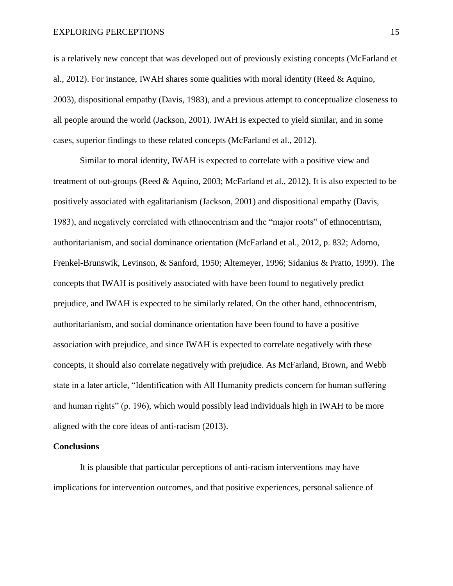is a relatively new concept that was developed out of previously existing concepts (McFarland et al., 2012). For instance, IWAH shares some qualities with moral identity (Reed & Aquino, 2003), dispositional empathy (Davis, 1983), and a previous attempt to conceptualize closeness to all people around the world (Jackson, 2001). IWAH is expected to yield similar, and in some cases, superior findings to these related concepts (McFarland et al., 2012).

Similar to moral identity, IWAH is expected to correlate with a positive view and treatment of out-groups (Reed & Aquino, 2003; McFarland et al., 2012). It is also expected to be positively associated with egalitarianism (Jackson, 2001) and dispositional empathy (Davis, 1983), and negatively correlated with ethnocentrism and the "major roots" of ethnocentrism, authoritarianism, and social dominance orientation (McFarland et al., 2012, p. 832; Adorno, Frenkel-Brunswik, Levinson, & Sanford, 1950; Altemeyer, 1996; Sidanius & Pratto, 1999). The concepts that IWAH is positively associated with have been found to negatively predict prejudice, and IWAH is expected to be similarly related. On the other hand, ethnocentrism, authoritarianism, and social dominance orientation have been found to have a positive association with prejudice, and since IWAH is expected to correlate negatively with these concepts, it should also correlate negatively with prejudice. As McFarland, Brown, and Webb state in a later article, "Identification with All Humanity predicts concern for human suffering and human rights" (p. 196), which would possibly lead individuals high in IWAH to be more aligned with the core ideas of anti-racism (2013).

## **Conclusions**

It is plausible that particular perceptions of anti-racism interventions may have implications for intervention outcomes, and that positive experiences, personal salience of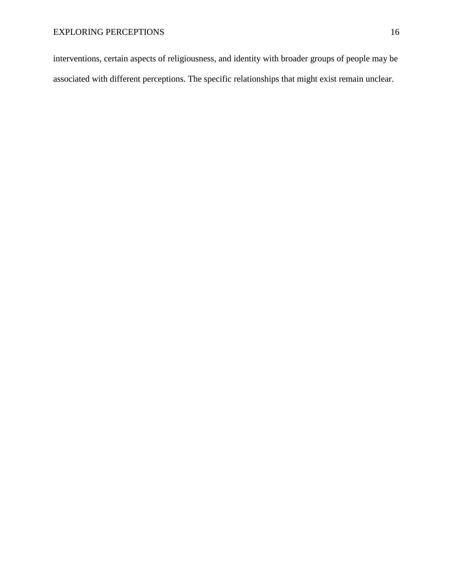interventions, certain aspects of religiousness, and identity with broader groups of people may be associated with different perceptions. The specific relationships that might exist remain unclear.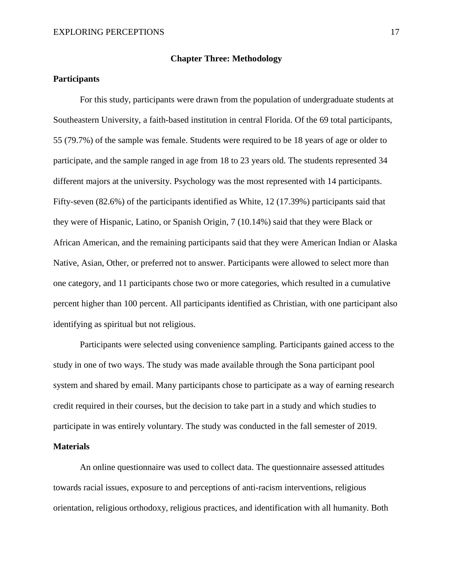#### **Chapter Three: Methodology**

## **Participants**

For this study, participants were drawn from the population of undergraduate students at Southeastern University, a faith-based institution in central Florida. Of the 69 total participants, 55 (79.7%) of the sample was female. Students were required to be 18 years of age or older to participate, and the sample ranged in age from 18 to 23 years old. The students represented 34 different majors at the university. Psychology was the most represented with 14 participants. Fifty-seven (82.6%) of the participants identified as White, 12 (17.39%) participants said that they were of Hispanic, Latino, or Spanish Origin, 7 (10.14%) said that they were Black or African American, and the remaining participants said that they were American Indian or Alaska Native, Asian, Other, or preferred not to answer. Participants were allowed to select more than one category, and 11 participants chose two or more categories, which resulted in a cumulative percent higher than 100 percent. All participants identified as Christian, with one participant also identifying as spiritual but not religious.

Participants were selected using convenience sampling. Participants gained access to the study in one of two ways. The study was made available through the Sona participant pool system and shared by email. Many participants chose to participate as a way of earning research credit required in their courses, but the decision to take part in a study and which studies to participate in was entirely voluntary. The study was conducted in the fall semester of 2019.

## **Materials**

An online questionnaire was used to collect data. The questionnaire assessed attitudes towards racial issues, exposure to and perceptions of anti-racism interventions, religious orientation, religious orthodoxy, religious practices, and identification with all humanity. Both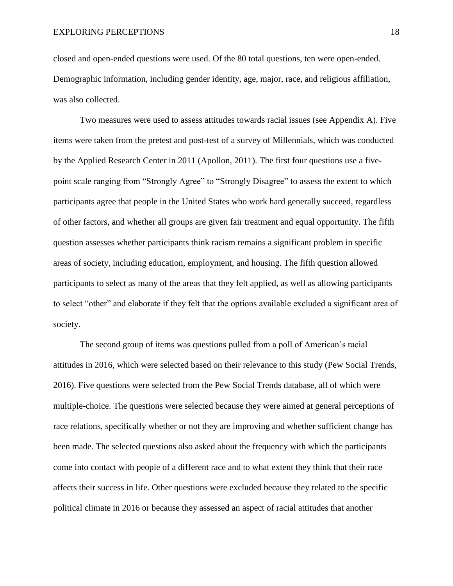closed and open-ended questions were used. Of the 80 total questions, ten were open-ended. Demographic information, including gender identity, age, major, race, and religious affiliation, was also collected.

Two measures were used to assess attitudes towards racial issues (see Appendix A). Five items were taken from the pretest and post-test of a survey of Millennials, which was conducted by the Applied Research Center in 2011 (Apollon, 2011). The first four questions use a fivepoint scale ranging from "Strongly Agree" to "Strongly Disagree" to assess the extent to which participants agree that people in the United States who work hard generally succeed, regardless of other factors, and whether all groups are given fair treatment and equal opportunity. The fifth question assesses whether participants think racism remains a significant problem in specific areas of society, including education, employment, and housing. The fifth question allowed participants to select as many of the areas that they felt applied, as well as allowing participants to select "other" and elaborate if they felt that the options available excluded a significant area of society.

The second group of items was questions pulled from a poll of American's racial attitudes in 2016, which were selected based on their relevance to this study (Pew Social Trends, 2016). Five questions were selected from the Pew Social Trends database, all of which were multiple-choice. The questions were selected because they were aimed at general perceptions of race relations, specifically whether or not they are improving and whether sufficient change has been made. The selected questions also asked about the frequency with which the participants come into contact with people of a different race and to what extent they think that their race affects their success in life. Other questions were excluded because they related to the specific political climate in 2016 or because they assessed an aspect of racial attitudes that another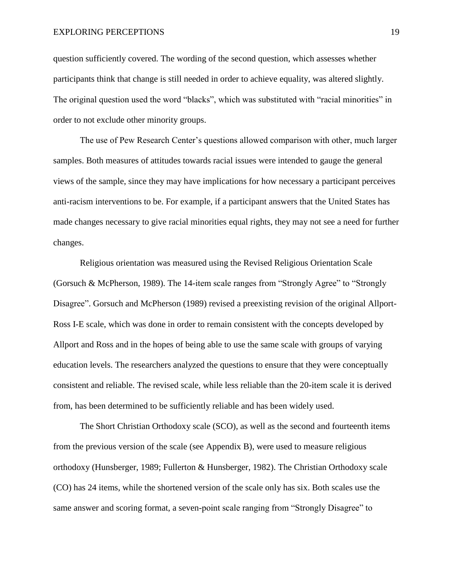question sufficiently covered. The wording of the second question, which assesses whether participants think that change is still needed in order to achieve equality, was altered slightly. The original question used the word "blacks", which was substituted with "racial minorities" in order to not exclude other minority groups.

The use of Pew Research Center's questions allowed comparison with other, much larger samples. Both measures of attitudes towards racial issues were intended to gauge the general views of the sample, since they may have implications for how necessary a participant perceives anti-racism interventions to be. For example, if a participant answers that the United States has made changes necessary to give racial minorities equal rights, they may not see a need for further changes.

Religious orientation was measured using the Revised Religious Orientation Scale (Gorsuch & McPherson, 1989). The 14-item scale ranges from "Strongly Agree" to "Strongly Disagree". Gorsuch and McPherson (1989) revised a preexisting revision of the original Allport-Ross I-E scale, which was done in order to remain consistent with the concepts developed by Allport and Ross and in the hopes of being able to use the same scale with groups of varying education levels. The researchers analyzed the questions to ensure that they were conceptually consistent and reliable. The revised scale, while less reliable than the 20-item scale it is derived from, has been determined to be sufficiently reliable and has been widely used.

The Short Christian Orthodoxy scale (SCO), as well as the second and fourteenth items from the previous version of the scale (see Appendix B), were used to measure religious orthodoxy (Hunsberger, 1989; Fullerton & Hunsberger, 1982). The Christian Orthodoxy scale (CO) has 24 items, while the shortened version of the scale only has six. Both scales use the same answer and scoring format, a seven-point scale ranging from "Strongly Disagree" to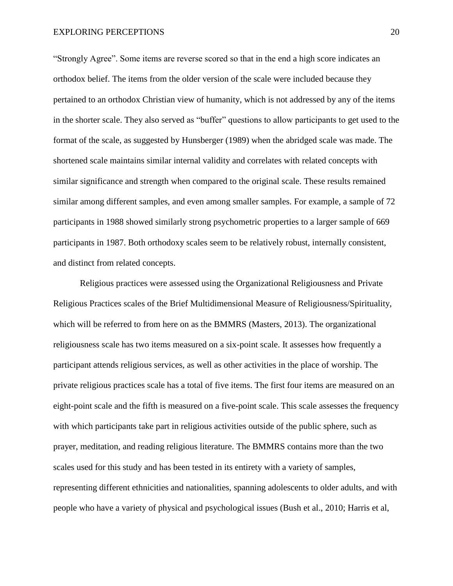"Strongly Agree". Some items are reverse scored so that in the end a high score indicates an orthodox belief. The items from the older version of the scale were included because they pertained to an orthodox Christian view of humanity, which is not addressed by any of the items in the shorter scale. They also served as "buffer" questions to allow participants to get used to the format of the scale, as suggested by Hunsberger (1989) when the abridged scale was made. The shortened scale maintains similar internal validity and correlates with related concepts with similar significance and strength when compared to the original scale. These results remained similar among different samples, and even among smaller samples. For example, a sample of 72 participants in 1988 showed similarly strong psychometric properties to a larger sample of 669 participants in 1987. Both orthodoxy scales seem to be relatively robust, internally consistent, and distinct from related concepts.

Religious practices were assessed using the Organizational Religiousness and Private Religious Practices scales of the Brief Multidimensional Measure of Religiousness/Spirituality, which will be referred to from here on as the BMMRS (Masters, 2013). The organizational religiousness scale has two items measured on a six-point scale. It assesses how frequently a participant attends religious services, as well as other activities in the place of worship. The private religious practices scale has a total of five items. The first four items are measured on an eight-point scale and the fifth is measured on a five-point scale. This scale assesses the frequency with which participants take part in religious activities outside of the public sphere, such as prayer, meditation, and reading religious literature. The BMMRS contains more than the two scales used for this study and has been tested in its entirety with a variety of samples, representing different ethnicities and nationalities, spanning adolescents to older adults, and with people who have a variety of physical and psychological issues (Bush et al., 2010; Harris et al,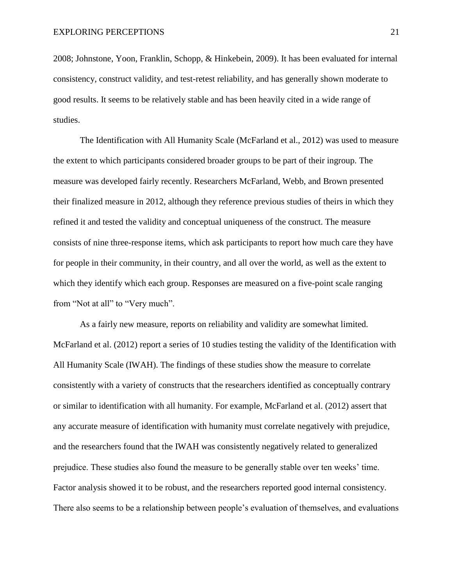2008; Johnstone, Yoon, Franklin, Schopp, & Hinkebein, 2009). It has been evaluated for internal consistency, construct validity, and test-retest reliability, and has generally shown moderate to good results. It seems to be relatively stable and has been heavily cited in a wide range of studies.

The Identification with All Humanity Scale (McFarland et al., 2012) was used to measure the extent to which participants considered broader groups to be part of their ingroup. The measure was developed fairly recently. Researchers McFarland, Webb, and Brown presented their finalized measure in 2012, although they reference previous studies of theirs in which they refined it and tested the validity and conceptual uniqueness of the construct. The measure consists of nine three-response items, which ask participants to report how much care they have for people in their community, in their country, and all over the world, as well as the extent to which they identify which each group. Responses are measured on a five-point scale ranging from "Not at all" to "Very much".

As a fairly new measure, reports on reliability and validity are somewhat limited. McFarland et al. (2012) report a series of 10 studies testing the validity of the Identification with All Humanity Scale (IWAH). The findings of these studies show the measure to correlate consistently with a variety of constructs that the researchers identified as conceptually contrary or similar to identification with all humanity. For example, McFarland et al. (2012) assert that any accurate measure of identification with humanity must correlate negatively with prejudice, and the researchers found that the IWAH was consistently negatively related to generalized prejudice. These studies also found the measure to be generally stable over ten weeks' time. Factor analysis showed it to be robust, and the researchers reported good internal consistency. There also seems to be a relationship between people's evaluation of themselves, and evaluations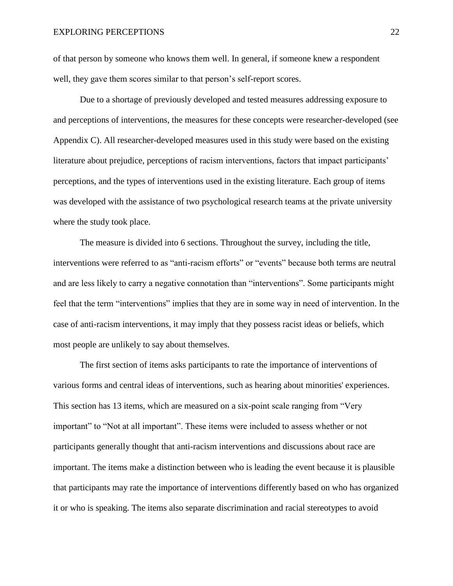of that person by someone who knows them well. In general, if someone knew a respondent well, they gave them scores similar to that person's self-report scores.

Due to a shortage of previously developed and tested measures addressing exposure to and perceptions of interventions, the measures for these concepts were researcher-developed (see Appendix C). All researcher-developed measures used in this study were based on the existing literature about prejudice, perceptions of racism interventions, factors that impact participants' perceptions, and the types of interventions used in the existing literature. Each group of items was developed with the assistance of two psychological research teams at the private university where the study took place.

The measure is divided into 6 sections. Throughout the survey, including the title, interventions were referred to as "anti-racism efforts" or "events" because both terms are neutral and are less likely to carry a negative connotation than "interventions". Some participants might feel that the term "interventions" implies that they are in some way in need of intervention. In the case of anti-racism interventions, it may imply that they possess racist ideas or beliefs, which most people are unlikely to say about themselves.

The first section of items asks participants to rate the importance of interventions of various forms and central ideas of interventions, such as hearing about minorities' experiences. This section has 13 items, which are measured on a six-point scale ranging from "Very important" to "Not at all important". These items were included to assess whether or not participants generally thought that anti-racism interventions and discussions about race are important. The items make a distinction between who is leading the event because it is plausible that participants may rate the importance of interventions differently based on who has organized it or who is speaking. The items also separate discrimination and racial stereotypes to avoid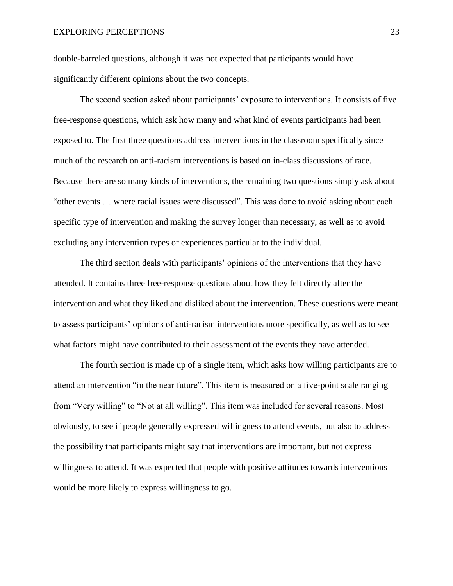double-barreled questions, although it was not expected that participants would have significantly different opinions about the two concepts.

The second section asked about participants' exposure to interventions. It consists of five free-response questions, which ask how many and what kind of events participants had been exposed to. The first three questions address interventions in the classroom specifically since much of the research on anti-racism interventions is based on in-class discussions of race. Because there are so many kinds of interventions, the remaining two questions simply ask about "other events … where racial issues were discussed". This was done to avoid asking about each specific type of intervention and making the survey longer than necessary, as well as to avoid excluding any intervention types or experiences particular to the individual.

The third section deals with participants' opinions of the interventions that they have attended. It contains three free-response questions about how they felt directly after the intervention and what they liked and disliked about the intervention. These questions were meant to assess participants' opinions of anti-racism interventions more specifically, as well as to see what factors might have contributed to their assessment of the events they have attended.

The fourth section is made up of a single item, which asks how willing participants are to attend an intervention "in the near future". This item is measured on a five-point scale ranging from "Very willing" to "Not at all willing". This item was included for several reasons. Most obviously, to see if people generally expressed willingness to attend events, but also to address the possibility that participants might say that interventions are important, but not express willingness to attend. It was expected that people with positive attitudes towards interventions would be more likely to express willingness to go.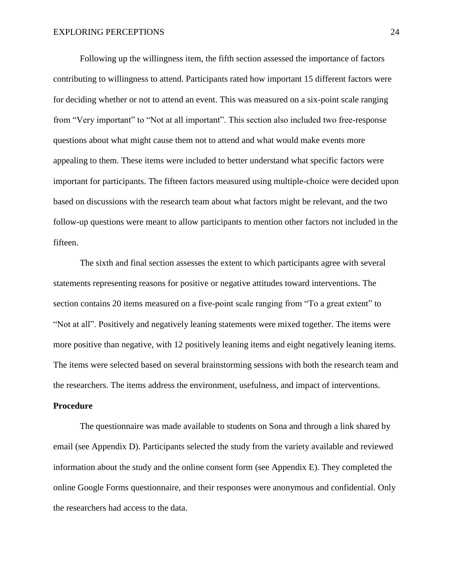Following up the willingness item, the fifth section assessed the importance of factors contributing to willingness to attend. Participants rated how important 15 different factors were for deciding whether or not to attend an event. This was measured on a six-point scale ranging from "Very important" to "Not at all important". This section also included two free-response questions about what might cause them not to attend and what would make events more appealing to them. These items were included to better understand what specific factors were important for participants. The fifteen factors measured using multiple-choice were decided upon based on discussions with the research team about what factors might be relevant, and the two follow-up questions were meant to allow participants to mention other factors not included in the fifteen.

The sixth and final section assesses the extent to which participants agree with several statements representing reasons for positive or negative attitudes toward interventions. The section contains 20 items measured on a five-point scale ranging from "To a great extent" to "Not at all". Positively and negatively leaning statements were mixed together. The items were more positive than negative, with 12 positively leaning items and eight negatively leaning items. The items were selected based on several brainstorming sessions with both the research team and the researchers. The items address the environment, usefulness, and impact of interventions.

#### **Procedure**

The questionnaire was made available to students on Sona and through a link shared by email (see Appendix D). Participants selected the study from the variety available and reviewed information about the study and the online consent form (see Appendix E). They completed the online Google Forms questionnaire, and their responses were anonymous and confidential. Only the researchers had access to the data.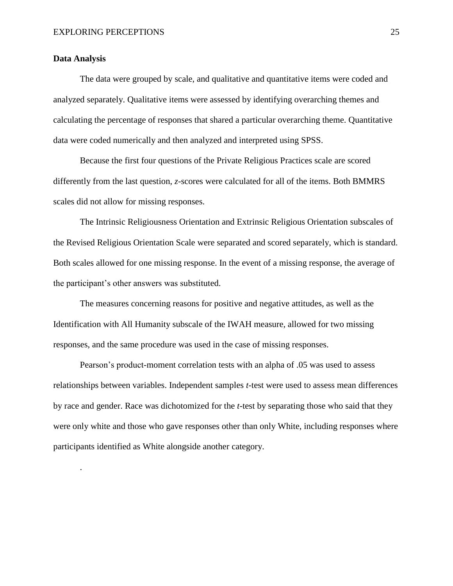## **Data Analysis**

.

The data were grouped by scale, and qualitative and quantitative items were coded and analyzed separately. Qualitative items were assessed by identifying overarching themes and calculating the percentage of responses that shared a particular overarching theme. Quantitative data were coded numerically and then analyzed and interpreted using SPSS.

Because the first four questions of the Private Religious Practices scale are scored differently from the last question, *z*-scores were calculated for all of the items. Both BMMRS scales did not allow for missing responses.

The Intrinsic Religiousness Orientation and Extrinsic Religious Orientation subscales of the Revised Religious Orientation Scale were separated and scored separately, which is standard. Both scales allowed for one missing response. In the event of a missing response, the average of the participant's other answers was substituted.

The measures concerning reasons for positive and negative attitudes, as well as the Identification with All Humanity subscale of the IWAH measure, allowed for two missing responses, and the same procedure was used in the case of missing responses.

Pearson's product-moment correlation tests with an alpha of .05 was used to assess relationships between variables. Independent samples *t*-test were used to assess mean differences by race and gender. Race was dichotomized for the *t*-test by separating those who said that they were only white and those who gave responses other than only White, including responses where participants identified as White alongside another category.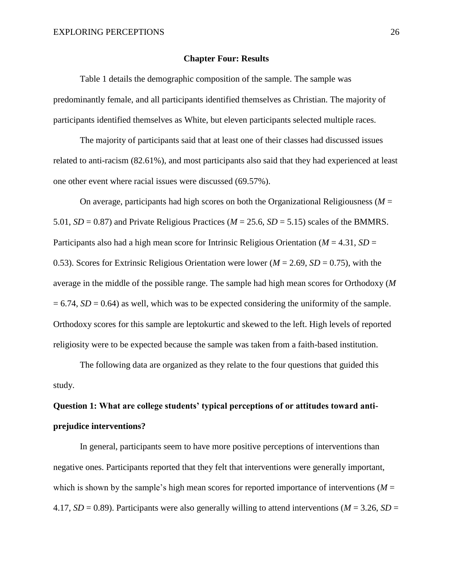### **Chapter Four: Results**

Table 1 details the demographic composition of the sample. The sample was predominantly female, and all participants identified themselves as Christian. The majority of participants identified themselves as White, but eleven participants selected multiple races.

The majority of participants said that at least one of their classes had discussed issues related to anti-racism (82.61%), and most participants also said that they had experienced at least one other event where racial issues were discussed (69.57%).

On average, participants had high scores on both the Organizational Religiousness (*M* = 5.01,  $SD = 0.87$ ) and Private Religious Practices ( $M = 25.6$ ,  $SD = 5.15$ ) scales of the BMMRS. Participants also had a high mean score for Intrinsic Religious Orientation (*M* = 4.31, *SD* = 0.53). Scores for Extrinsic Religious Orientation were lower ( $M = 2.69$ ,  $SD = 0.75$ ), with the average in the middle of the possible range. The sample had high mean scores for Orthodoxy (*M*  $= 6.74$ , *SD* = 0.64) as well, which was to be expected considering the uniformity of the sample. Orthodoxy scores for this sample are leptokurtic and skewed to the left. High levels of reported religiosity were to be expected because the sample was taken from a faith-based institution.

The following data are organized as they relate to the four questions that guided this study.

# **Question 1: What are college students' typical perceptions of or attitudes toward antiprejudice interventions?**

In general, participants seem to have more positive perceptions of interventions than negative ones. Participants reported that they felt that interventions were generally important, which is shown by the sample's high mean scores for reported importance of interventions ( $M =$ 4.17, *SD* = 0.89). Participants were also generally willing to attend interventions ( $M = 3.26$ , *SD* =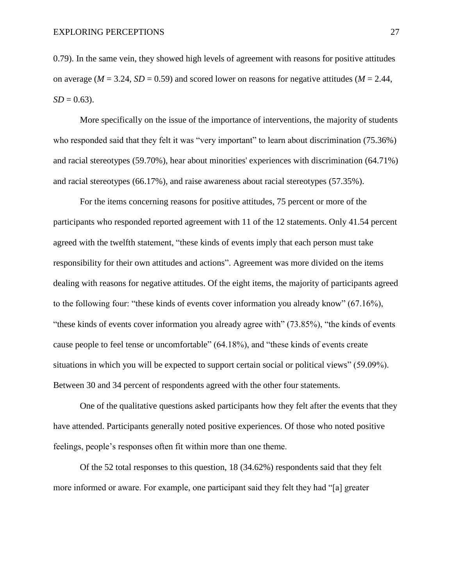0.79). In the same vein, they showed high levels of agreement with reasons for positive attitudes on average ( $M = 3.24$ ,  $SD = 0.59$ ) and scored lower on reasons for negative attitudes ( $M = 2.44$ ,  $SD = 0.63$ ).

More specifically on the issue of the importance of interventions, the majority of students who responded said that they felt it was "very important" to learn about discrimination (75.36%) and racial stereotypes (59.70%), hear about minorities' experiences with discrimination (64.71%) and racial stereotypes (66.17%), and raise awareness about racial stereotypes (57.35%).

For the items concerning reasons for positive attitudes, 75 percent or more of the participants who responded reported agreement with 11 of the 12 statements. Only 41.54 percent agreed with the twelfth statement, "these kinds of events imply that each person must take responsibility for their own attitudes and actions". Agreement was more divided on the items dealing with reasons for negative attitudes. Of the eight items, the majority of participants agreed to the following four: "these kinds of events cover information you already know" (67.16%), "these kinds of events cover information you already agree with" (73.85%), "the kinds of events cause people to feel tense or uncomfortable" (64.18%), and "these kinds of events create situations in which you will be expected to support certain social or political views" (59.09%). Between 30 and 34 percent of respondents agreed with the other four statements.

One of the qualitative questions asked participants how they felt after the events that they have attended. Participants generally noted positive experiences. Of those who noted positive feelings, people's responses often fit within more than one theme.

Of the 52 total responses to this question, 18 (34.62%) respondents said that they felt more informed or aware. For example, one participant said they felt they had "[a] greater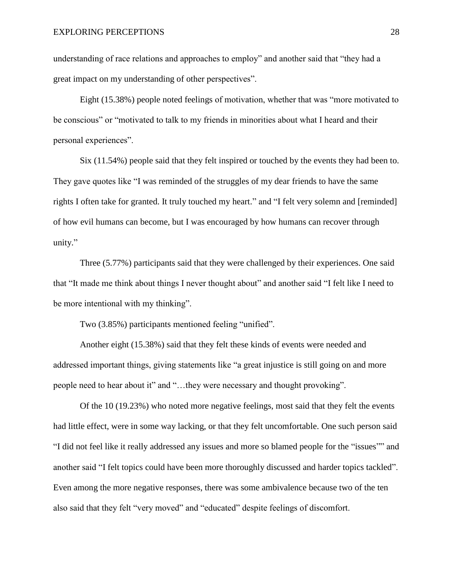understanding of race relations and approaches to employ" and another said that "they had a great impact on my understanding of other perspectives".

Eight (15.38%) people noted feelings of motivation, whether that was "more motivated to be conscious" or "motivated to talk to my friends in minorities about what I heard and their personal experiences".

Six (11.54%) people said that they felt inspired or touched by the events they had been to. They gave quotes like "I was reminded of the struggles of my dear friends to have the same rights I often take for granted. It truly touched my heart." and "I felt very solemn and [reminded] of how evil humans can become, but I was encouraged by how humans can recover through unity."

Three (5.77%) participants said that they were challenged by their experiences. One said that "It made me think about things I never thought about" and another said "I felt like I need to be more intentional with my thinking".

Two (3.85%) participants mentioned feeling "unified".

Another eight (15.38%) said that they felt these kinds of events were needed and addressed important things, giving statements like "a great injustice is still going on and more people need to hear about it" and "…they were necessary and thought provoking".

Of the 10 (19.23%) who noted more negative feelings, most said that they felt the events had little effect, were in some way lacking, or that they felt uncomfortable. One such person said "I did not feel like it really addressed any issues and more so blamed people for the "issues"" and another said "I felt topics could have been more thoroughly discussed and harder topics tackled". Even among the more negative responses, there was some ambivalence because two of the ten also said that they felt "very moved" and "educated" despite feelings of discomfort.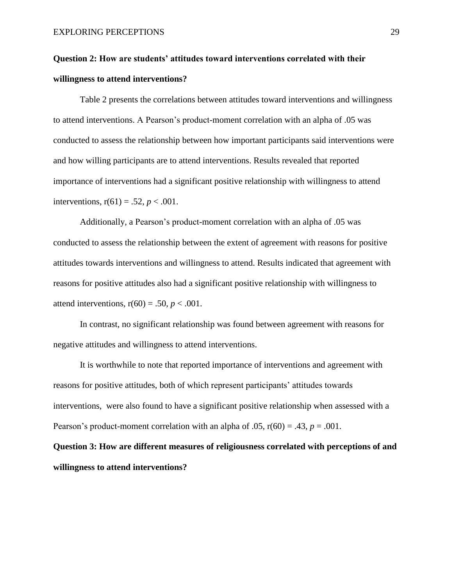# **Question 2: How are students' attitudes toward interventions correlated with their willingness to attend interventions?**

Table 2 presents the correlations between attitudes toward interventions and willingness to attend interventions. A Pearson's product-moment correlation with an alpha of .05 was conducted to assess the relationship between how important participants said interventions were and how willing participants are to attend interventions. Results revealed that reported importance of interventions had a significant positive relationship with willingness to attend interventions,  $r(61) = .52, p < .001$ .

Additionally, a Pearson's product-moment correlation with an alpha of .05 was conducted to assess the relationship between the extent of agreement with reasons for positive attitudes towards interventions and willingness to attend. Results indicated that agreement with reasons for positive attitudes also had a significant positive relationship with willingness to attend interventions,  $r(60) = .50$ ,  $p < .001$ .

In contrast, no significant relationship was found between agreement with reasons for negative attitudes and willingness to attend interventions.

It is worthwhile to note that reported importance of interventions and agreement with reasons for positive attitudes, both of which represent participants' attitudes towards interventions, were also found to have a significant positive relationship when assessed with a Pearson's product-moment correlation with an alpha of  $.05$ ,  $r(60) = .43$ ,  $p = .001$ .

**Question 3: How are different measures of religiousness correlated with perceptions of and willingness to attend interventions?**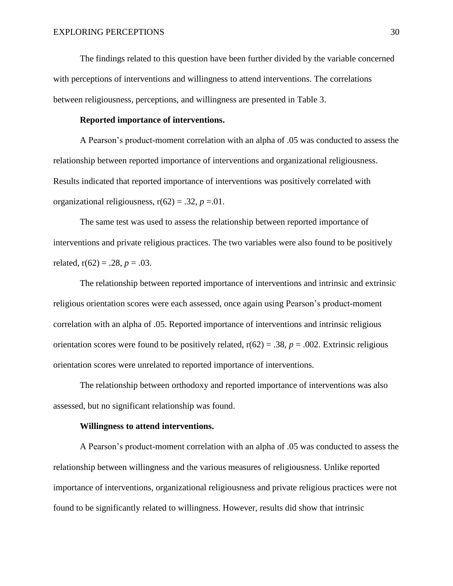The findings related to this question have been further divided by the variable concerned with perceptions of interventions and willingness to attend interventions. The correlations between religiousness, perceptions, and willingness are presented in Table 3.

## **Reported importance of interventions.**

A Pearson's product-moment correlation with an alpha of .05 was conducted to assess the relationship between reported importance of interventions and organizational religiousness. Results indicated that reported importance of interventions was positively correlated with organizational religiousness,  $r(62) = .32$ ,  $p = .01$ .

The same test was used to assess the relationship between reported importance of interventions and private religious practices. The two variables were also found to be positively related,  $r(62) = .28$ ,  $p = .03$ .

The relationship between reported importance of interventions and intrinsic and extrinsic religious orientation scores were each assessed, once again using Pearson's product-moment correlation with an alpha of .05. Reported importance of interventions and intrinsic religious orientation scores were found to be positively related,  $r(62) = .38$ ,  $p = .002$ . Extrinsic religious orientation scores were unrelated to reported importance of interventions.

The relationship between orthodoxy and reported importance of interventions was also assessed, but no significant relationship was found.

#### **Willingness to attend interventions.**

A Pearson's product-moment correlation with an alpha of .05 was conducted to assess the relationship between willingness and the various measures of religiousness. Unlike reported importance of interventions, organizational religiousness and private religious practices were not found to be significantly related to willingness. However, results did show that intrinsic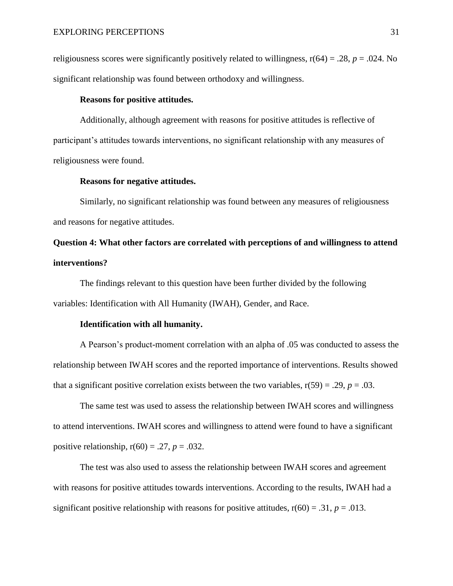religiousness scores were significantly positively related to willingness,  $r(64) = .28$ ,  $p = .024$ . No significant relationship was found between orthodoxy and willingness.

## **Reasons for positive attitudes.**

Additionally, although agreement with reasons for positive attitudes is reflective of participant's attitudes towards interventions, no significant relationship with any measures of religiousness were found.

## **Reasons for negative attitudes.**

Similarly, no significant relationship was found between any measures of religiousness and reasons for negative attitudes.

# **Question 4: What other factors are correlated with perceptions of and willingness to attend interventions?**

The findings relevant to this question have been further divided by the following variables: Identification with All Humanity (IWAH), Gender, and Race.

#### **Identification with all humanity.**

A Pearson's product-moment correlation with an alpha of .05 was conducted to assess the relationship between IWAH scores and the reported importance of interventions. Results showed that a significant positive correlation exists between the two variables,  $r(59) = .29$ ,  $p = .03$ .

The same test was used to assess the relationship between IWAH scores and willingness to attend interventions. IWAH scores and willingness to attend were found to have a significant positive relationship,  $r(60) = .27$ ,  $p = .032$ .

The test was also used to assess the relationship between IWAH scores and agreement with reasons for positive attitudes towards interventions. According to the results, IWAH had a significant positive relationship with reasons for positive attitudes,  $r(60) = .31$ ,  $p = .013$ .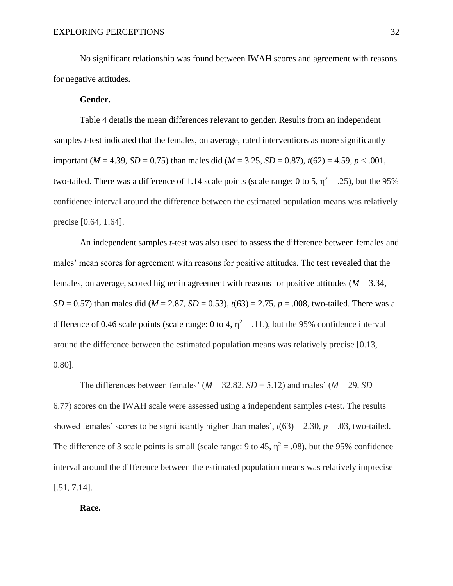No significant relationship was found between IWAH scores and agreement with reasons for negative attitudes.

## **Gender.**

Table 4 details the mean differences relevant to gender. Results from an independent samples *t*-test indicated that the females, on average, rated interventions as more significantly important (*M* = 4.39, *SD* = 0.75) than males did (*M* = 3.25, *SD* = 0.87),  $t(62) = 4.59$ ,  $p < .001$ , two-tailed. There was a difference of 1.14 scale points (scale range: 0 to 5,  $\eta^2 = .25$ ), but the 95% confidence interval around the difference between the estimated population means was relatively precise [0.64, 1.64].

An independent samples *t*-test was also used to assess the difference between females and males' mean scores for agreement with reasons for positive attitudes. The test revealed that the females, on average, scored higher in agreement with reasons for positive attitudes (*M* = 3.34, *SD* = 0.57) than males did ( $M = 2.87$ , *SD* = 0.53),  $t(63) = 2.75$ ,  $p = .008$ , two-tailed. There was a difference of 0.46 scale points (scale range: 0 to 4,  $\eta^2 = .11$ .), but the 95% confidence interval around the difference between the estimated population means was relatively precise [0.13, 0.80].

The differences between females' ( $M = 32.82$ ,  $SD = 5.12$ ) and males' ( $M = 29$ ,  $SD =$ 6.77) scores on the IWAH scale were assessed using a independent samples *t*-test. The results showed females' scores to be significantly higher than males',  $t(63) = 2.30$ ,  $p = .03$ , two-tailed. The difference of 3 scale points is small (scale range: 9 to 45,  $\eta^2 = .08$ ), but the 95% confidence interval around the difference between the estimated population means was relatively imprecise [.51, 7.14].

## **Race.**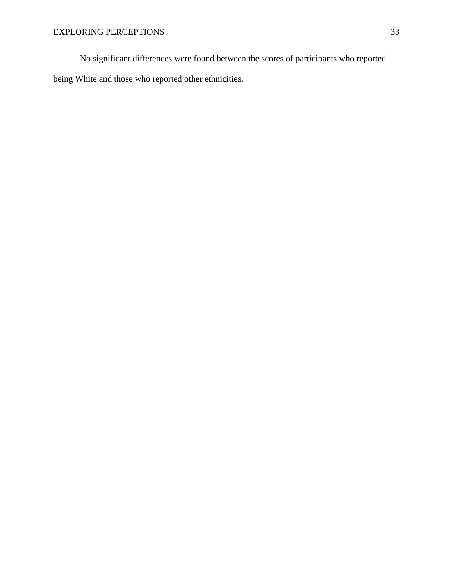No significant differences were found between the scores of participants who reported being White and those who reported other ethnicities.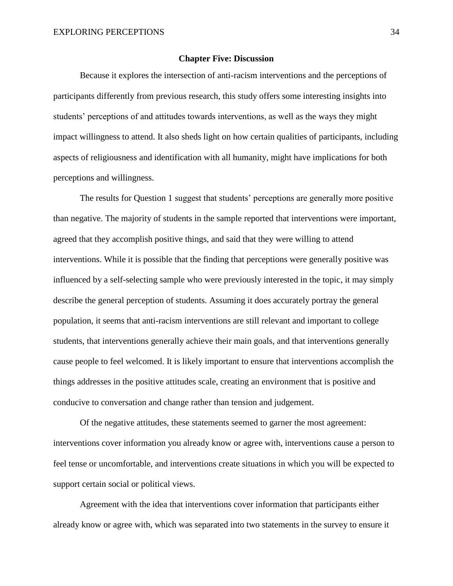## **Chapter Five: Discussion**

Because it explores the intersection of anti-racism interventions and the perceptions of participants differently from previous research, this study offers some interesting insights into students' perceptions of and attitudes towards interventions, as well as the ways they might impact willingness to attend. It also sheds light on how certain qualities of participants, including aspects of religiousness and identification with all humanity, might have implications for both perceptions and willingness.

The results for Question 1 suggest that students' perceptions are generally more positive than negative. The majority of students in the sample reported that interventions were important, agreed that they accomplish positive things, and said that they were willing to attend interventions. While it is possible that the finding that perceptions were generally positive was influenced by a self-selecting sample who were previously interested in the topic, it may simply describe the general perception of students. Assuming it does accurately portray the general population, it seems that anti-racism interventions are still relevant and important to college students, that interventions generally achieve their main goals, and that interventions generally cause people to feel welcomed. It is likely important to ensure that interventions accomplish the things addresses in the positive attitudes scale, creating an environment that is positive and conducive to conversation and change rather than tension and judgement.

Of the negative attitudes, these statements seemed to garner the most agreement: interventions cover information you already know or agree with, interventions cause a person to feel tense or uncomfortable, and interventions create situations in which you will be expected to support certain social or political views.

Agreement with the idea that interventions cover information that participants either already know or agree with, which was separated into two statements in the survey to ensure it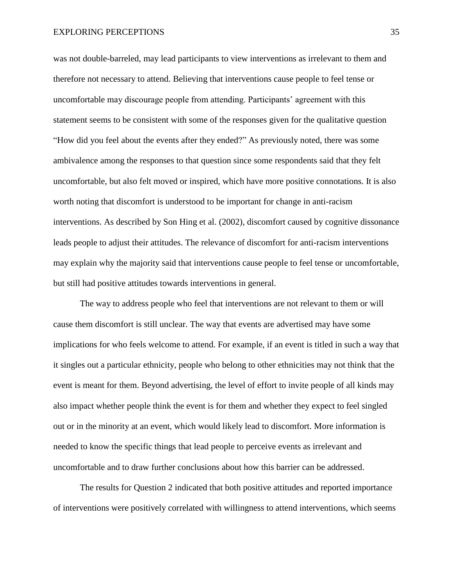was not double-barreled, may lead participants to view interventions as irrelevant to them and therefore not necessary to attend. Believing that interventions cause people to feel tense or uncomfortable may discourage people from attending. Participants' agreement with this statement seems to be consistent with some of the responses given for the qualitative question "How did you feel about the events after they ended?" As previously noted, there was some ambivalence among the responses to that question since some respondents said that they felt uncomfortable, but also felt moved or inspired, which have more positive connotations. It is also worth noting that discomfort is understood to be important for change in anti-racism interventions. As described by Son Hing et al. (2002), discomfort caused by cognitive dissonance leads people to adjust their attitudes. The relevance of discomfort for anti-racism interventions may explain why the majority said that interventions cause people to feel tense or uncomfortable, but still had positive attitudes towards interventions in general.

The way to address people who feel that interventions are not relevant to them or will cause them discomfort is still unclear. The way that events are advertised may have some implications for who feels welcome to attend. For example, if an event is titled in such a way that it singles out a particular ethnicity, people who belong to other ethnicities may not think that the event is meant for them. Beyond advertising, the level of effort to invite people of all kinds may also impact whether people think the event is for them and whether they expect to feel singled out or in the minority at an event, which would likely lead to discomfort. More information is needed to know the specific things that lead people to perceive events as irrelevant and uncomfortable and to draw further conclusions about how this barrier can be addressed.

The results for Question 2 indicated that both positive attitudes and reported importance of interventions were positively correlated with willingness to attend interventions, which seems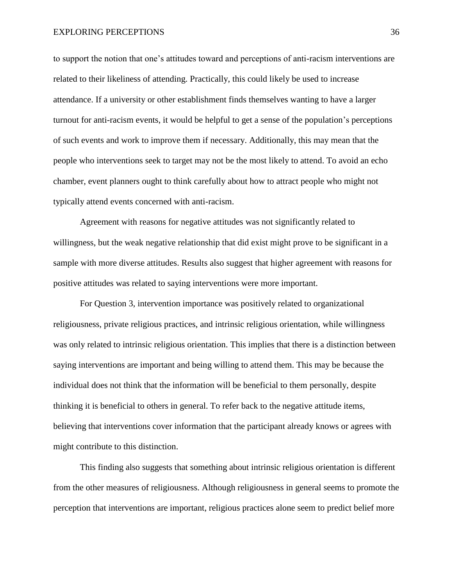to support the notion that one's attitudes toward and perceptions of anti-racism interventions are related to their likeliness of attending. Practically, this could likely be used to increase attendance. If a university or other establishment finds themselves wanting to have a larger turnout for anti-racism events, it would be helpful to get a sense of the population's perceptions of such events and work to improve them if necessary. Additionally, this may mean that the people who interventions seek to target may not be the most likely to attend. To avoid an echo chamber, event planners ought to think carefully about how to attract people who might not typically attend events concerned with anti-racism.

Agreement with reasons for negative attitudes was not significantly related to willingness, but the weak negative relationship that did exist might prove to be significant in a sample with more diverse attitudes. Results also suggest that higher agreement with reasons for positive attitudes was related to saying interventions were more important.

For Question 3, intervention importance was positively related to organizational religiousness, private religious practices, and intrinsic religious orientation, while willingness was only related to intrinsic religious orientation. This implies that there is a distinction between saying interventions are important and being willing to attend them. This may be because the individual does not think that the information will be beneficial to them personally, despite thinking it is beneficial to others in general. To refer back to the negative attitude items, believing that interventions cover information that the participant already knows or agrees with might contribute to this distinction.

This finding also suggests that something about intrinsic religious orientation is different from the other measures of religiousness. Although religiousness in general seems to promote the perception that interventions are important, religious practices alone seem to predict belief more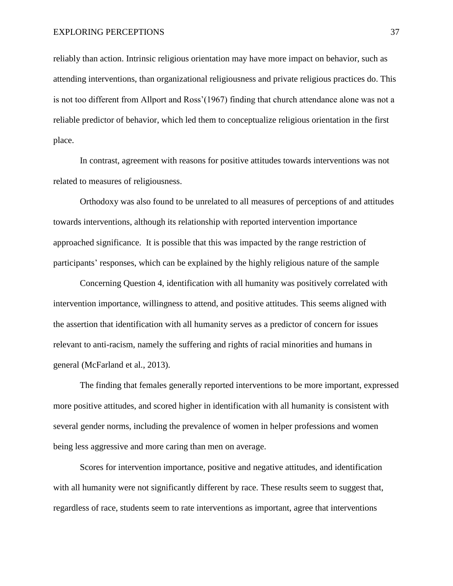reliably than action. Intrinsic religious orientation may have more impact on behavior, such as attending interventions, than organizational religiousness and private religious practices do. This is not too different from Allport and Ross'(1967) finding that church attendance alone was not a reliable predictor of behavior, which led them to conceptualize religious orientation in the first place.

In contrast, agreement with reasons for positive attitudes towards interventions was not related to measures of religiousness.

Orthodoxy was also found to be unrelated to all measures of perceptions of and attitudes towards interventions, although its relationship with reported intervention importance approached significance. It is possible that this was impacted by the range restriction of participants' responses, which can be explained by the highly religious nature of the sample

Concerning Question 4, identification with all humanity was positively correlated with intervention importance, willingness to attend, and positive attitudes. This seems aligned with the assertion that identification with all humanity serves as a predictor of concern for issues relevant to anti-racism, namely the suffering and rights of racial minorities and humans in general (McFarland et al., 2013).

The finding that females generally reported interventions to be more important, expressed more positive attitudes, and scored higher in identification with all humanity is consistent with several gender norms, including the prevalence of women in helper professions and women being less aggressive and more caring than men on average.

Scores for intervention importance, positive and negative attitudes, and identification with all humanity were not significantly different by race. These results seem to suggest that, regardless of race, students seem to rate interventions as important, agree that interventions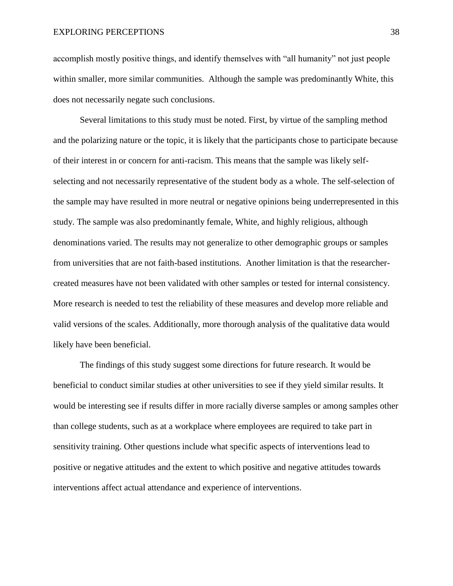accomplish mostly positive things, and identify themselves with "all humanity" not just people within smaller, more similar communities. Although the sample was predominantly White, this does not necessarily negate such conclusions.

Several limitations to this study must be noted. First, by virtue of the sampling method and the polarizing nature or the topic, it is likely that the participants chose to participate because of their interest in or concern for anti-racism. This means that the sample was likely selfselecting and not necessarily representative of the student body as a whole. The self-selection of the sample may have resulted in more neutral or negative opinions being underrepresented in this study. The sample was also predominantly female, White, and highly religious, although denominations varied. The results may not generalize to other demographic groups or samples from universities that are not faith-based institutions. Another limitation is that the researchercreated measures have not been validated with other samples or tested for internal consistency. More research is needed to test the reliability of these measures and develop more reliable and valid versions of the scales. Additionally, more thorough analysis of the qualitative data would likely have been beneficial.

The findings of this study suggest some directions for future research. It would be beneficial to conduct similar studies at other universities to see if they yield similar results. It would be interesting see if results differ in more racially diverse samples or among samples other than college students, such as at a workplace where employees are required to take part in sensitivity training. Other questions include what specific aspects of interventions lead to positive or negative attitudes and the extent to which positive and negative attitudes towards interventions affect actual attendance and experience of interventions.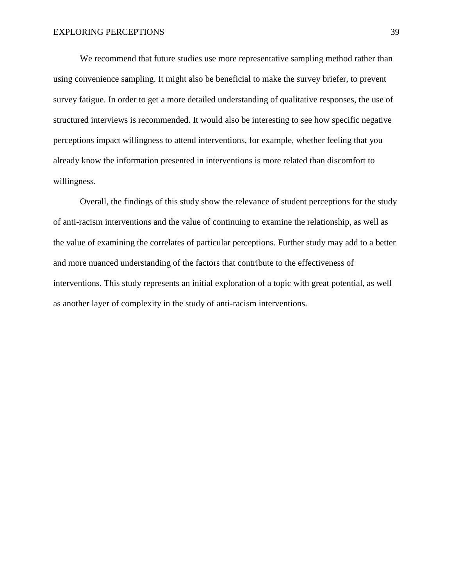We recommend that future studies use more representative sampling method rather than using convenience sampling. It might also be beneficial to make the survey briefer, to prevent survey fatigue. In order to get a more detailed understanding of qualitative responses, the use of structured interviews is recommended. It would also be interesting to see how specific negative perceptions impact willingness to attend interventions, for example, whether feeling that you already know the information presented in interventions is more related than discomfort to willingness.

Overall, the findings of this study show the relevance of student perceptions for the study of anti-racism interventions and the value of continuing to examine the relationship, as well as the value of examining the correlates of particular perceptions. Further study may add to a better and more nuanced understanding of the factors that contribute to the effectiveness of interventions. This study represents an initial exploration of a topic with great potential, as well as another layer of complexity in the study of anti-racism interventions.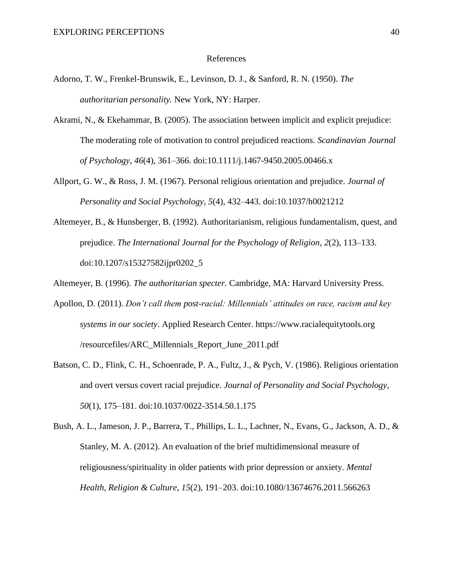#### References

- Adorno, T. W., Frenkel-Brunswik, E., Levinson, D. J., & Sanford, R. N. (1950). *The authoritarian personality.* New York, NY: Harper.
- Akrami, N., & Ekehammar, B. (2005). The association between implicit and explicit prejudice: The moderating role of motivation to control prejudiced reactions. *Scandinavian Journal of Psychology*, *46*(4), 361–366. doi:10.1111/j.1467-9450.2005.00466.x
- Allport, G. W., & Ross, J. M. (1967). Personal religious orientation and prejudice. *Journal of Personality and Social Psychology*, *5*(4), 432–443. doi:10.1037/h0021212
- Altemeyer, B., & Hunsberger, B. (1992). Authoritarianism, religious fundamentalism, quest, and prejudice. *The International Journal for the Psychology of Religion*, *2*(2), 113–133. doi:10.1207/s15327582ijpr0202\_5

Altemeyer, B. (1996). *The authoritarian specter.* Cambridge, MA: Harvard University Press.

- Apollon, D. (2011). *Don't call them post-racial: Millennials' attitudes on race, racism and key systems in our society*. Applied Research Center. https://www.racialequitytools.org /resourcefiles/ARC\_Millennials\_Report\_June\_2011.pdf
- Batson, C. D., Flink, C. H., Schoenrade, P. A., Fultz, J., & Pych, V. (1986). Religious orientation and overt versus covert racial prejudice. *Journal of Personality and Social Psychology*, *50*(1), 175–181. doi:10.1037/0022-3514.50.1.175
- Bush, A. L., Jameson, J. P., Barrera, T., Phillips, L. L., Lachner, N., Evans, G., Jackson, A. D., & Stanley, M. A. (2012). An evaluation of the brief multidimensional measure of religiousness/spirituality in older patients with prior depression or anxiety. *Mental Health, Religion & Culture*, *15*(2), 191–203. doi:10.1080/13674676.2011.566263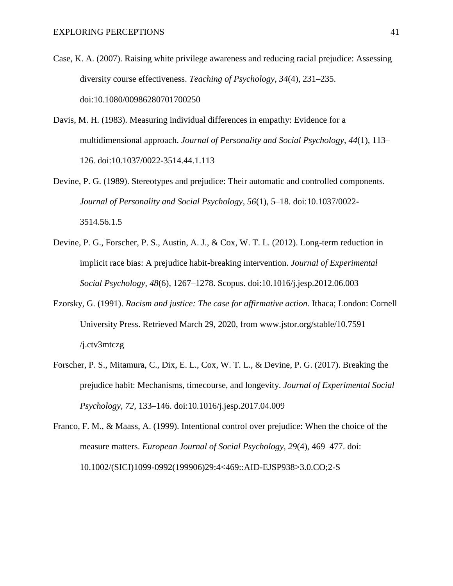- Case, K. A. (2007). Raising white privilege awareness and reducing racial prejudice: Assessing diversity course effectiveness. *Teaching of Psychology*, *34*(4), 231–235. doi:10.1080/00986280701700250
- Davis, M. H. (1983). Measuring individual differences in empathy: Evidence for a multidimensional approach. *Journal of Personality and Social Psychology*, *44*(1), 113– 126. doi:10.1037/0022-3514.44.1.113
- Devine, P. G. (1989). Stereotypes and prejudice: Their automatic and controlled components. *Journal of Personality and Social Psychology*, *56*(1), 5–18. doi:10.1037/0022- 3514.56.1.5
- Devine, P. G., Forscher, P. S., Austin, A. J., & Cox, W. T. L. (2012). Long-term reduction in implicit race bias: A prejudice habit-breaking intervention. *Journal of Experimental Social Psychology*, *48*(6), 1267–1278. Scopus. doi:10.1016/j.jesp.2012.06.003
- Ezorsky, G. (1991). *Racism and justice: The case for affirmative action*. Ithaca; London: Cornell University Press. Retrieved March 29, 2020, from www.jstor.org/stable/10.7591 /j.ctv3mtczg
- Forscher, P. S., Mitamura, C., Dix, E. L., Cox, W. T. L., & Devine, P. G. (2017). Breaking the prejudice habit: Mechanisms, timecourse, and longevity. *Journal of Experimental Social Psychology, 72,* 133–146. doi:10.1016/j.jesp.2017.04.009
- Franco, F. M., & Maass, A. (1999). Intentional control over prejudice: When the choice of the measure matters. *European Journal of Social Psychology*, *29*(4), 469–477. doi: 10.1002/(SICI)1099-0992(199906)29:4<469::AID-EJSP938>3.0.CO;2-S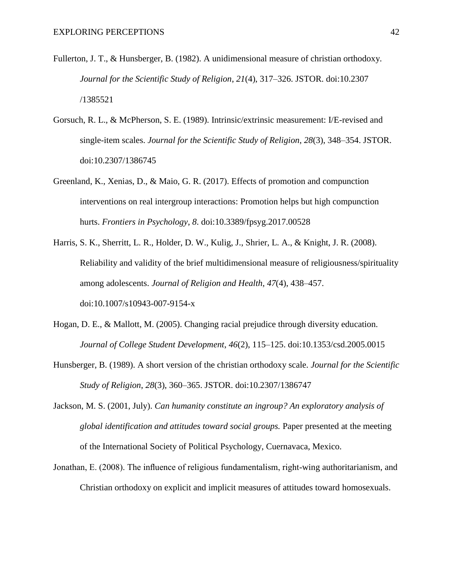- Fullerton, J. T., & Hunsberger, B. (1982). A unidimensional measure of christian orthodoxy. *Journal for the Scientific Study of Religion*, *21*(4), 317–326. JSTOR. doi:10.2307 /1385521
- Gorsuch, R. L., & McPherson, S. E. (1989). Intrinsic/extrinsic measurement: I/E-revised and single-item scales. *Journal for the Scientific Study of Religion*, *28*(3), 348–354. JSTOR. doi:10.2307/1386745
- Greenland, K., Xenias, D., & Maio, G. R. (2017). Effects of promotion and compunction interventions on real intergroup interactions: Promotion helps but high compunction hurts. *Frontiers in Psychology*, *8*. doi:10.3389/fpsyg.2017.00528
- Harris, S. K., Sherritt, L. R., Holder, D. W., Kulig, J., Shrier, L. A., & Knight, J. R. (2008). Reliability and validity of the brief multidimensional measure of religiousness/spirituality among adolescents. *Journal of Religion and Health*, *47*(4), 438–457. doi:10.1007/s10943-007-9154-x
- Hogan, D. E., & Mallott, M. (2005). Changing racial prejudice through diversity education. *Journal of College Student Development*, *46*(2), 115–125. doi:10.1353/csd.2005.0015
- Hunsberger, B. (1989). A short version of the christian orthodoxy scale. *Journal for the Scientific Study of Religion*, *28*(3), 360–365. JSTOR. doi:10.2307/1386747
- Jackson, M. S. (2001, July). *Can humanity constitute an ingroup? An exploratory analysis of global identification and attitudes toward social groups.* Paper presented at the meeting of the International Society of Political Psychology, Cuernavaca, Mexico.
- Jonathan, E. (2008). The influence of religious fundamentalism, right-wing authoritarianism, and Christian orthodoxy on explicit and implicit measures of attitudes toward homosexuals.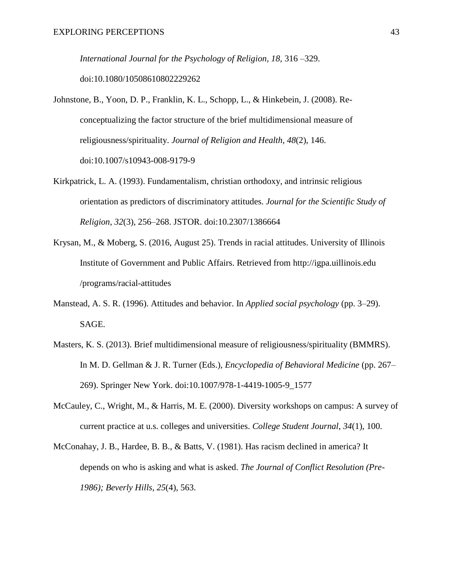*International Journal for the Psychology of Religion, 18,* 316 –329. doi:10.1080/10508610802229262

- Johnstone, B., Yoon, D. P., Franklin, K. L., Schopp, L., & Hinkebein, J. (2008). Reconceptualizing the factor structure of the brief multidimensional measure of religiousness/spirituality. *Journal of Religion and Health*, *48*(2), 146. doi:10.1007/s10943-008-9179-9
- Kirkpatrick, L. A. (1993). Fundamentalism, christian orthodoxy, and intrinsic religious orientation as predictors of discriminatory attitudes. *Journal for the Scientific Study of Religion*, *32*(3), 256–268. JSTOR. doi:10.2307/1386664
- Krysan, M., & Moberg, S. (2016, August 25). Trends in racial attitudes. University of Illinois Institute of Government and Public Affairs. Retrieved from http://igpa.uillinois.edu /programs/racial-attitudes
- Manstead, A. S. R. (1996). Attitudes and behavior. In *Applied social psychology* (pp. 3–29). SAGE.
- Masters, K. S. (2013). Brief multidimensional measure of religiousness/spirituality (BMMRS). In M. D. Gellman & J. R. Turner (Eds.), *Encyclopedia of Behavioral Medicine* (pp. 267– 269). Springer New York. doi:10.1007/978-1-4419-1005-9\_1577
- McCauley, C., Wright, M., & Harris, M. E. (2000). Diversity workshops on campus: A survey of current practice at u.s. colleges and universities. *College Student Journal*, *34*(1), 100.
- McConahay, J. B., Hardee, B. B., & Batts, V. (1981). Has racism declined in america? It depends on who is asking and what is asked. *The Journal of Conflict Resolution (Pre-1986); Beverly Hills*, *25*(4), 563.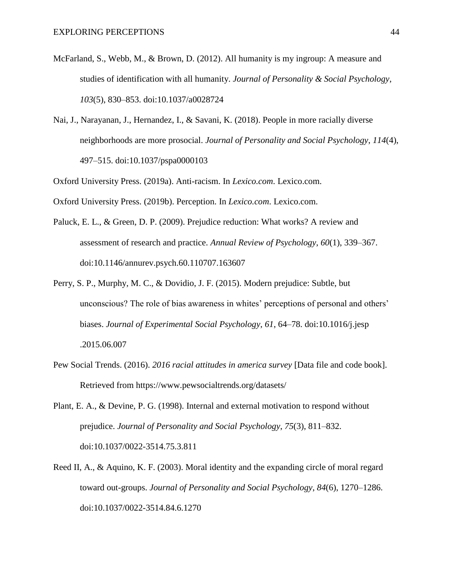- McFarland, S., Webb, M., & Brown, D. (2012). All humanity is my ingroup: A measure and studies of identification with all humanity. *Journal of Personality & Social Psychology*, *103*(5), 830–853. doi:10.1037/a0028724
- Nai, J., Narayanan, J., Hernandez, I., & Savani, K. (2018). People in more racially diverse neighborhoods are more prosocial. *Journal of Personality and Social Psychology*, *114*(4), 497–515. doi:10.1037/pspa0000103

Oxford University Press. (2019a). Anti-racism. In *Lexico.com*. Lexico.com.

Oxford University Press. (2019b). Perception. In *Lexico.com*. Lexico.com.

- Paluck, E. L., & Green, D. P. (2009). Prejudice reduction: What works? A review and assessment of research and practice. *Annual Review of Psychology*, *60*(1), 339–367. doi:10.1146/annurev.psych.60.110707.163607
- Perry, S. P., Murphy, M. C., & Dovidio, J. F. (2015). Modern prejudice: Subtle, but unconscious? The role of bias awareness in whites' perceptions of personal and others' biases. *Journal of Experimental Social Psychology*, *61*, 64–78. doi:10.1016/j.jesp .2015.06.007
- Pew Social Trends. (2016). *2016 racial attitudes in america survey* [Data file and code book]. Retrieved from https://www.pewsocialtrends.org/datasets/
- Plant, E. A., & Devine, P. G. (1998). Internal and external motivation to respond without prejudice. *Journal of Personality and Social Psychology*, *75*(3), 811–832. doi:10.1037/0022-3514.75.3.811
- Reed II, A., & Aquino, K. F. (2003). Moral identity and the expanding circle of moral regard toward out-groups. *Journal of Personality and Social Psychology*, *84*(6), 1270–1286. doi:10.1037/0022-3514.84.6.1270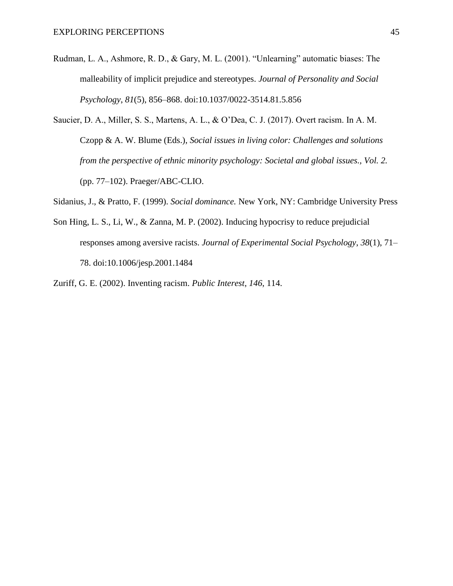- Rudman, L. A., Ashmore, R. D., & Gary, M. L. (2001). "Unlearning" automatic biases: The malleability of implicit prejudice and stereotypes. *Journal of Personality and Social Psychology*, *81*(5), 856–868. doi:10.1037/0022-3514.81.5.856
- Saucier, D. A., Miller, S. S., Martens, A. L., & O'Dea, C. J. (2017). Overt racism. In A. M. Czopp & A. W. Blume (Eds.), *Social issues in living color: Challenges and solutions from the perspective of ethnic minority psychology: Societal and global issues., Vol. 2.* (pp. 77–102). Praeger/ABC-CLIO.

Sidanius, J., & Pratto, F. (1999). *Social dominance.* New York, NY: Cambridge University Press

Son Hing, L. S., Li, W., & Zanna, M. P. (2002). Inducing hypocrisy to reduce prejudicial responses among aversive racists. *Journal of Experimental Social Psychology*, *38*(1), 71– 78. doi:10.1006/jesp.2001.1484

Zuriff, G. E. (2002). Inventing racism. *Public Interest*, *146*, 114.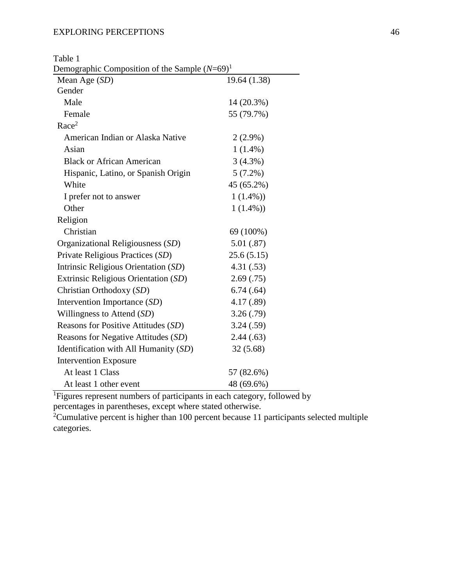Table 1

Demographic Composition of the Sample  $(N=69)^1$ 

| $P_{\rm C}$ $(1100)$<br>Mean Age (SD) | 19.64 (1.38) |
|---------------------------------------|--------------|
| Gender                                |              |
| Male                                  | 14 (20.3%)   |
| Female                                | 55 (79.7%)   |
| Race <sup>2</sup>                     |              |
| American Indian or Alaska Native      | $2(2.9\%)$   |
| Asian                                 | $1(1.4\%)$   |
| <b>Black or African American</b>      | 3(4.3%)      |
| Hispanic, Latino, or Spanish Origin   | 5(7.2%)      |
| White                                 | 45 (65.2%)   |
| I prefer not to answer                | $1(1.4\%)$   |
| Other                                 | $1(1.4\%)$   |
| Religion                              |              |
| Christian                             | 69 (100%)    |
| Organizational Religiousness (SD)     | 5.01(.87)    |
| Private Religious Practices (SD)      | 25.6(5.15)   |
| Intrinsic Religious Orientation (SD)  | 4.31(.53)    |
| Extrinsic Religious Orientation (SD)  | 2.69(.75)    |
| Christian Orthodoxy (SD)              | 6.74(.64)    |
| Intervention Importance (SD)          | 4.17 (.89)   |
| Willingness to Attend $(SD)$          | 3.26(.79)    |
| Reasons for Positive Attitudes (SD)   | 3.24(.59)    |
| Reasons for Negative Attitudes (SD)   | 2.44(.63)    |
| Identification with All Humanity (SD) | 32(5.68)     |
| <b>Intervention Exposure</b>          |              |
| At least 1 Class                      | 57 (82.6%)   |
| At least 1 other event                | 48 (69.6%)   |

<sup>1</sup>Figures represent numbers of participants in each category, followed by percentages in parentheses, except where stated otherwise.

<sup>2</sup>Cumulative percent is higher than 100 percent because 11 participants selected multiple categories.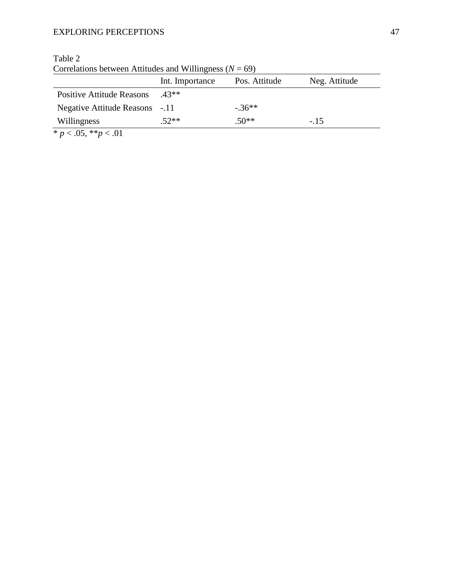|                                | Int. Importance | Pos. Attitude | Neg. Attitude |
|--------------------------------|-----------------|---------------|---------------|
| Positive Attitude Reasons      | $43**$          |               |               |
| Negative Attitude Reasons -.11 |                 | $-36**$       |               |
| Willingness                    | $.52**$         | $.50**$       | $-.15$        |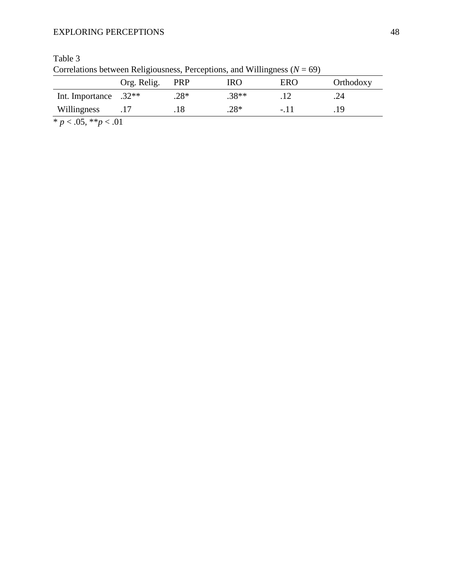| Correlations between Religiousness, Perceptions, and Willingness ( $N = 69$ ) |                 |        |            |            |           |
|-------------------------------------------------------------------------------|-----------------|--------|------------|------------|-----------|
|                                                                               | Org. Relig. PRP |        | <b>IRO</b> | <b>ERO</b> | Orthodoxy |
| Int. Importance $.32**$                                                       |                 | $.28*$ | $.38**$    |            | .24       |
| Willingness                                                                   |                 | .18    | $.28*$     | $-11$      | 19        |
| * $p < .05$ , ** $p < .01$                                                    |                 |        |            |            |           |

Table 3<br>Correlations between Religio  $Cov(1)$   $Dercation(1)$  and Willingness  $(N - 60)$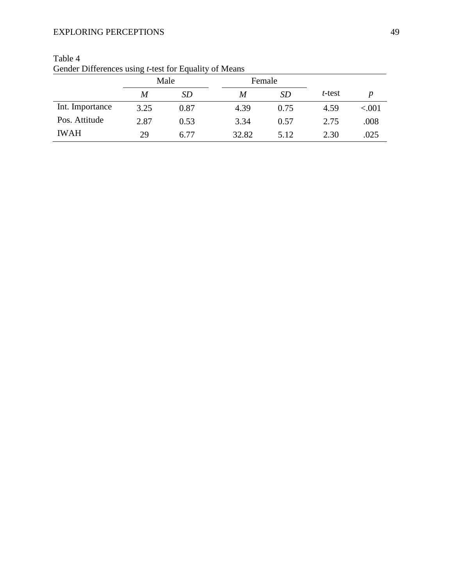|                 | Male |      |       | Female |        |       |
|-----------------|------|------|-------|--------|--------|-------|
|                 | M    | SD   | M     | SD     | t-test | D     |
| Int. Importance | 3.25 | 0.87 | 4.39  | 0.75   | 4.59   | < 001 |
| Pos. Attitude   | 2.87 | 0.53 | 3.34  | 0.57   | 2.75   | .008  |
| <b>IWAH</b>     | 29   | 6.77 | 32.82 | 5.12   | 2.30   | .025  |

| Table 4                                                       |  |
|---------------------------------------------------------------|--|
| Gender Differences using <i>t</i> -test for Equality of Means |  |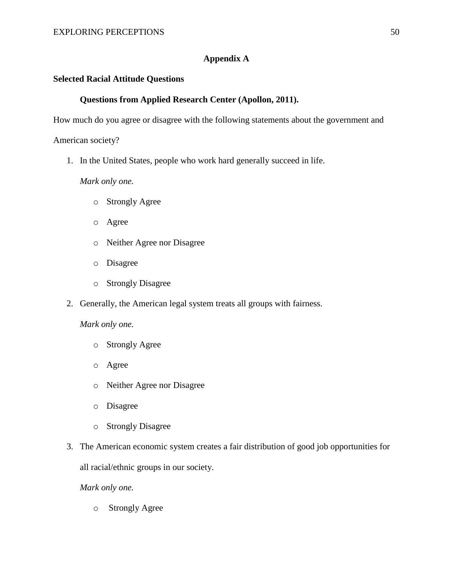## **Appendix A**

## **Selected Racial Attitude Questions**

## **Questions from Applied Research Center (Apollon, 2011).**

How much do you agree or disagree with the following statements about the government and

American society?

1. In the United States, people who work hard generally succeed in life.

*Mark only one.* 

- o Strongly Agree
- o Agree
- o Neither Agree nor Disagree
- o Disagree
- o Strongly Disagree
- 2. Generally, the American legal system treats all groups with fairness.

*Mark only one.* 

- o Strongly Agree
- o Agree
- o Neither Agree nor Disagree
- o Disagree
- o Strongly Disagree
- 3. The American economic system creates a fair distribution of good job opportunities for

all racial/ethnic groups in our society.

*Mark only one.*

o Strongly Agree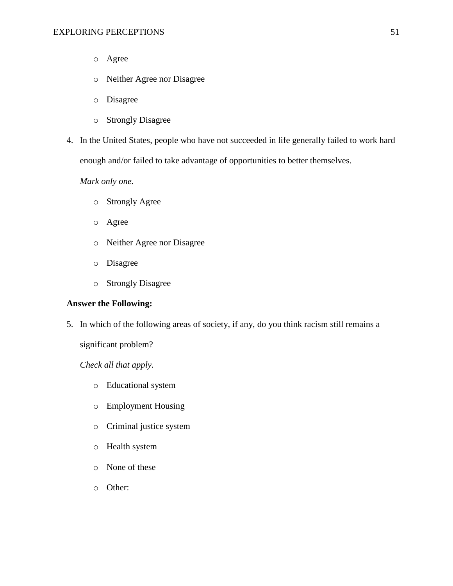- o Agree
- o Neither Agree nor Disagree
- o Disagree
- o Strongly Disagree
- 4. In the United States, people who have not succeeded in life generally failed to work hard enough and/or failed to take advantage of opportunities to better themselves.

## *Mark only one.*

- o Strongly Agree
- o Agree
- o Neither Agree nor Disagree
- o Disagree
- o Strongly Disagree

## **Answer the Following:**

5. In which of the following areas of society, if any, do you think racism still remains a

significant problem?

*Check all that apply.* 

- o Educational system
- o Employment Housing
- o Criminal justice system
- o Health system
- o None of these
- o Other: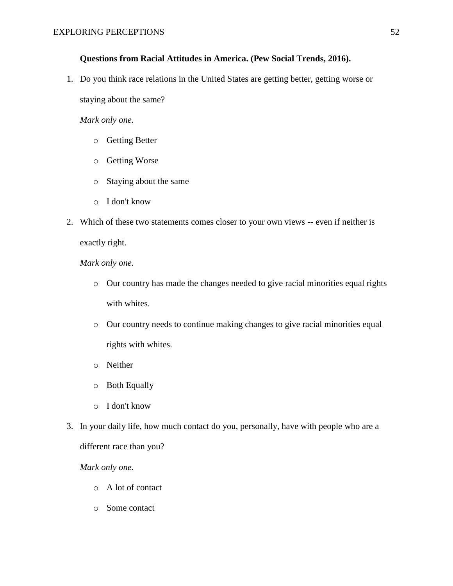## **Questions from Racial Attitudes in America. (Pew Social Trends, 2016).**

1. Do you think race relations in the United States are getting better, getting worse or

staying about the same?

## *Mark only one.*

- o Getting Better
- o Getting Worse
- o Staying about the same
- o I don't know
- 2. Which of these two statements comes closer to your own views -- even if neither is exactly right.

## *Mark only one.*

- o Our country has made the changes needed to give racial minorities equal rights with whites.
- o Our country needs to continue making changes to give racial minorities equal rights with whites.
- o Neither
- o Both Equally
- o I don't know
- 3. In your daily life, how much contact do you, personally, have with people who are a different race than you?

*Mark only one.* 

o A lot of contact

o Some contact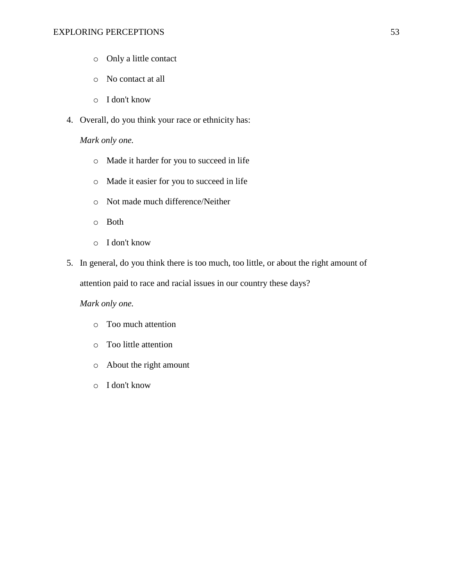- o Only a little contact
- o No contact at all
- o I don't know
- 4. Overall, do you think your race or ethnicity has:

## *Mark only one.*

- o Made it harder for you to succeed in life
- o Made it easier for you to succeed in life
- o Not made much difference/Neither
- o Both
- o I don't know
- 5. In general, do you think there is too much, too little, or about the right amount of attention paid to race and racial issues in our country these days?

## *Mark only one.*

- o Too much attention
- o Too little attention
- o About the right amount
- o I don't know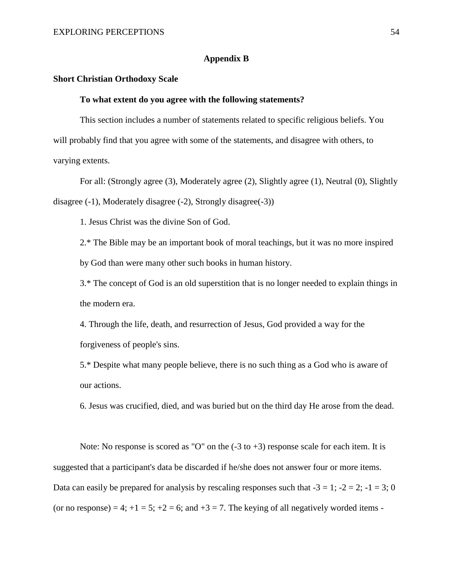## **Appendix B**

## **Short Christian Orthodoxy Scale**

#### **To what extent do you agree with the following statements?**

This section includes a number of statements related to specific religious beliefs. You will probably find that you agree with some of the statements, and disagree with others, to varying extents.

For all: (Strongly agree (3), Moderately agree (2), Slightly agree (1), Neutral (0), Slightly disagree (-1), Moderately disagree (-2), Strongly disagree(-3))

1. Jesus Christ was the divine Son of God.

2.\* The Bible may be an important book of moral teachings, but it was no more inspired by God than were many other such books in human history.

3.\* The concept of God is an old superstition that is no longer needed to explain things in the modern era.

4. Through the life, death, and resurrection of Jesus, God provided a way for the forgiveness of people's sins.

5.\* Despite what many people believe, there is no such thing as a God who is aware of our actions.

6. Jesus was crucified, died, and was buried but on the third day He arose from the dead.

Note: No response is scored as "O" on the  $(-3 \text{ to } +3)$  response scale for each item. It is suggested that a participant's data be discarded if he/she does not answer four or more items. Data can easily be prepared for analysis by rescaling responses such that  $-3 = 1$ ;  $-2 = 2$ ;  $-1 = 3$ ; 0 (or no response) = 4;  $+1 = 5$ ;  $+2 = 6$ ; and  $+3 = 7$ . The keying of all negatively worded items -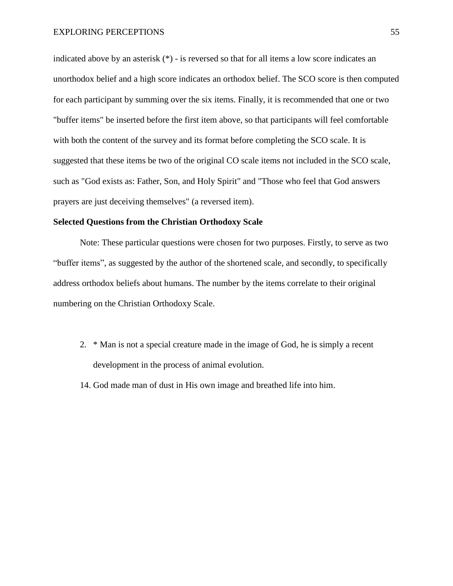indicated above by an asterisk (\*) - is reversed so that for all items a low score indicates an unorthodox belief and a high score indicates an orthodox belief. The SCO score is then computed for each participant by summing over the six items. Finally, it is recommended that one or two "buffer items" be inserted before the first item above, so that participants will feel comfortable with both the content of the survey and its format before completing the SCO scale. It is suggested that these items be two of the original CO scale items not included in the SCO scale, such as "God exists as: Father, Son, and Holy Spirit" and "Those who feel that God answers prayers are just deceiving themselves" (a reversed item).

## **Selected Questions from the Christian Orthodoxy Scale**

Note: These particular questions were chosen for two purposes. Firstly, to serve as two "buffer items", as suggested by the author of the shortened scale, and secondly, to specifically address orthodox beliefs about humans. The number by the items correlate to their original numbering on the Christian Orthodoxy Scale.

- 2. \* Man is not a special creature made in the image of God, he is simply a recent development in the process of animal evolution.
- 14. God made man of dust in His own image and breathed life into him.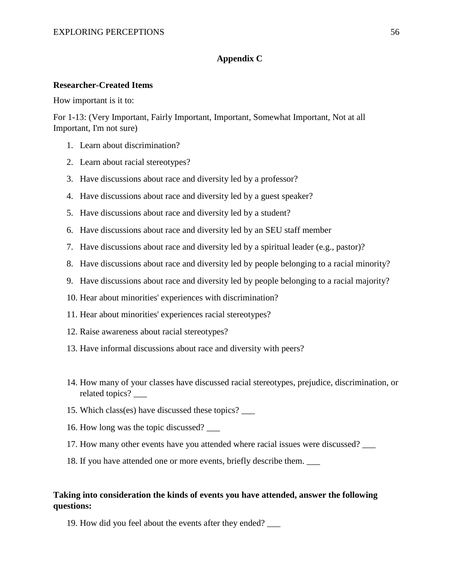## **Appendix C**

## **Researcher-Created Items**

How important is it to:

For 1-13: (Very Important, Fairly Important, Important, Somewhat Important, Not at all Important, I'm not sure)

- 1. Learn about discrimination?
- 2. Learn about racial stereotypes?
- 3. Have discussions about race and diversity led by a professor?
- 4. Have discussions about race and diversity led by a guest speaker?
- 5. Have discussions about race and diversity led by a student?
- 6. Have discussions about race and diversity led by an SEU staff member
- 7. Have discussions about race and diversity led by a spiritual leader (e.g., pastor)?
- 8. Have discussions about race and diversity led by people belonging to a racial minority?
- 9. Have discussions about race and diversity led by people belonging to a racial majority?
- 10. Hear about minorities' experiences with discrimination?
- 11. Hear about minorities' experiences racial stereotypes?
- 12. Raise awareness about racial stereotypes?
- 13. Have informal discussions about race and diversity with peers?
- 14. How many of your classes have discussed racial stereotypes, prejudice, discrimination, or related topics? \_\_\_
- 15. Which class(es) have discussed these topics? \_\_\_
- 16. How long was the topic discussed? \_\_\_
- 17. How many other events have you attended where racial issues were discussed? \_\_\_
- 18. If you have attended one or more events, briefly describe them. \_\_\_

## **Taking into consideration the kinds of events you have attended, answer the following questions:**

19. How did you feel about the events after they ended? \_\_\_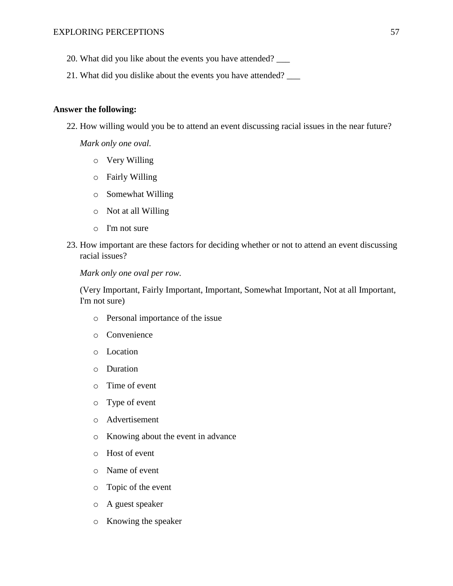- 20. What did you like about the events you have attended? \_\_\_
- 21. What did you dislike about the events you have attended? \_\_\_

## **Answer the following:**

22. How willing would you be to attend an event discussing racial issues in the near future?

*Mark only one oval.* 

- o Very Willing
- o Fairly Willing
- o Somewhat Willing
- o Not at all Willing
- o I'm not sure
- 23. How important are these factors for deciding whether or not to attend an event discussing racial issues?

*Mark only one oval per row.*

(Very Important, Fairly Important, Important, Somewhat Important, Not at all Important, I'm not sure)

- o Personal importance of the issue
- o Convenience
- o Location
- o Duration
- o Time of event
- o Type of event
- o Advertisement
- o Knowing about the event in advance
- o Host of event
- o Name of event
- o Topic of the event
- o A guest speaker
- o Knowing the speaker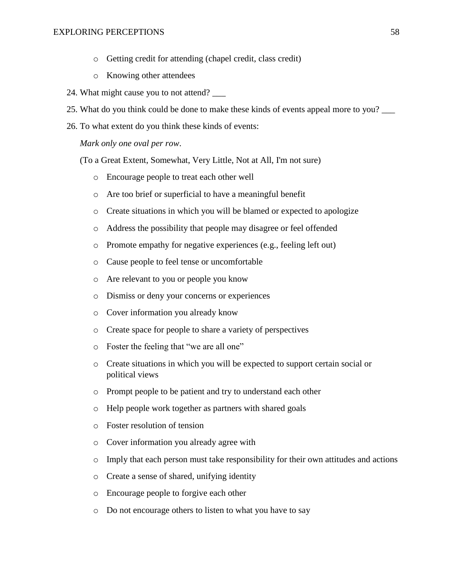- o Getting credit for attending (chapel credit, class credit)
- o Knowing other attendees
- 24. What might cause you to not attend? \_\_\_
- 25. What do you think could be done to make these kinds of events appeal more to you? \_\_\_
- 26. To what extent do you think these kinds of events:

*Mark only one oval per row*.

(To a Great Extent, Somewhat, Very Little, Not at All, I'm not sure)

- o Encourage people to treat each other well
- o Are too brief or superficial to have a meaningful benefit
- o Create situations in which you will be blamed or expected to apologize
- o Address the possibility that people may disagree or feel offended
- o Promote empathy for negative experiences (e.g., feeling left out)
- o Cause people to feel tense or uncomfortable
- o Are relevant to you or people you know
- o Dismiss or deny your concerns or experiences
- o Cover information you already know
- o Create space for people to share a variety of perspectives
- o Foster the feeling that "we are all one"
- o Create situations in which you will be expected to support certain social or political views
- o Prompt people to be patient and try to understand each other
- o Help people work together as partners with shared goals
- o Foster resolution of tension
- o Cover information you already agree with
- o Imply that each person must take responsibility for their own attitudes and actions
- o Create a sense of shared, unifying identity
- o Encourage people to forgive each other
- o Do not encourage others to listen to what you have to say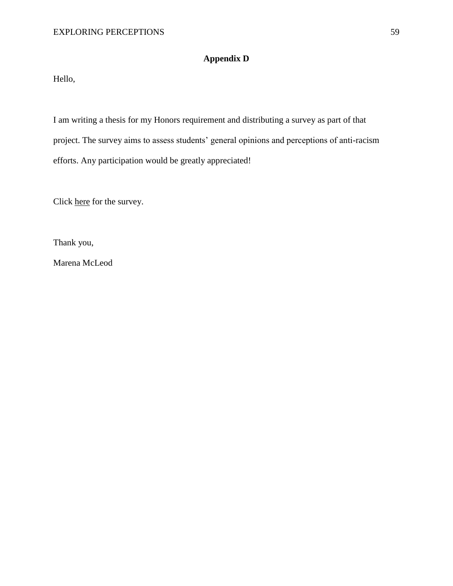# **Appendix D**

Hello,

I am writing a thesis for my Honors requirement and distributing a survey as part of that project. The survey aims to assess students' general opinions and perceptions of anti-racism efforts. Any participation would be greatly appreciated!

Click here for the survey.

Thank you,

Marena McLeod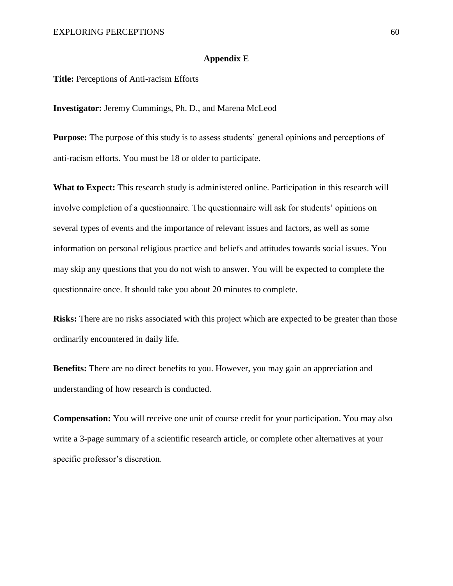## **Appendix E**

**Title:** Perceptions of Anti-racism Efforts

**Investigator:** Jeremy Cummings, Ph. D., and Marena McLeod

**Purpose:** The purpose of this study is to assess students' general opinions and perceptions of anti-racism efforts. You must be 18 or older to participate.

**What to Expect:** This research study is administered online. Participation in this research will involve completion of a questionnaire. The questionnaire will ask for students' opinions on several types of events and the importance of relevant issues and factors, as well as some information on personal religious practice and beliefs and attitudes towards social issues. You may skip any questions that you do not wish to answer. You will be expected to complete the questionnaire once. It should take you about 20 minutes to complete.

**Risks:** There are no risks associated with this project which are expected to be greater than those ordinarily encountered in daily life.

**Benefits:** There are no direct benefits to you. However, you may gain an appreciation and understanding of how research is conducted.

**Compensation:** You will receive one unit of course credit for your participation. You may also write a 3-page summary of a scientific research article, or complete other alternatives at your specific professor's discretion.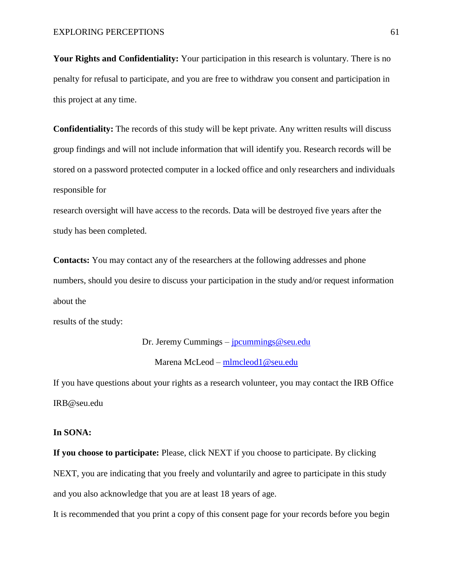**Your Rights and Confidentiality:** Your participation in this research is voluntary. There is no penalty for refusal to participate, and you are free to withdraw you consent and participation in this project at any time.

**Confidentiality:** The records of this study will be kept private. Any written results will discuss group findings and will not include information that will identify you. Research records will be stored on a password protected computer in a locked office and only researchers and individuals responsible for

research oversight will have access to the records. Data will be destroyed five years after the study has been completed.

**Contacts:** You may contact any of the researchers at the following addresses and phone numbers, should you desire to discuss your participation in the study and/or request information about the

results of the study:

Dr. Jeremy Cummings – *[jpcummings@seu.edu](mailto:jpcummings@seu.edu)* 

Marena McLeod – [mlmcleod1@seu.edu](mailto:mlmcleod1@seu.edu)

If you have questions about your rights as a research volunteer, you may contact the IRB Office IRB@seu.edu

## **In SONA:**

**If you choose to participate:** Please, click NEXT if you choose to participate. By clicking NEXT, you are indicating that you freely and voluntarily and agree to participate in this study and you also acknowledge that you are at least 18 years of age.

It is recommended that you print a copy of this consent page for your records before you begin